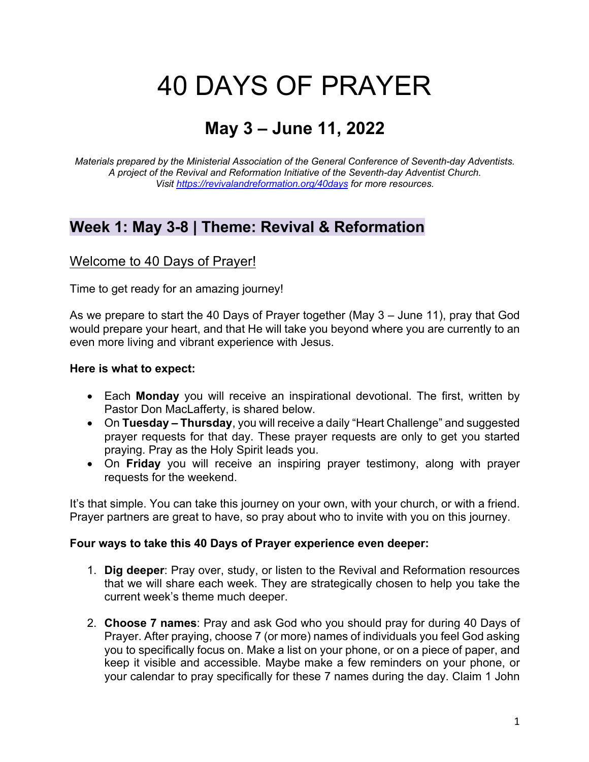# 40 DAYS OF PRAYER

# **May 3 – June 11, 2022**

*Materials prepared by the Ministerial Association of the General Conference of Seventh-day Adventists. A project of the Revival and Reformation Initiative of the Seventh-day Adventist Church. Visit https://revivalandreformation.org/40days for more resources.*

# **Week 1: May 3-8 | Theme: Revival & Reformation**

### Welcome to 40 Days of Prayer!

Time to get ready for an amazing journey!

As we prepare to start the 40 Days of Prayer together (May 3 – June 11), pray that God would prepare your heart, and that He will take you beyond where you are currently to an even more living and vibrant experience with Jesus.

#### **Here is what to expect:**

- Each **Monday** you will receive an inspirational devotional. The first, written by Pastor Don MacLafferty, is shared below.
- On **Tuesday – Thursday**, you will receive a daily "Heart Challenge" and suggested prayer requests for that day. These prayer requests are only to get you started praying. Pray as the Holy Spirit leads you.
- On **Friday** you will receive an inspiring prayer testimony, along with prayer requests for the weekend.

It's that simple. You can take this journey on your own, with your church, or with a friend. Prayer partners are great to have, so pray about who to invite with you on this journey.

#### **Four ways to take this 40 Days of Prayer experience even deeper:**

- 1. **Dig deeper**: Pray over, study, or listen to the Revival and Reformation resources that we will share each week. They are strategically chosen to help you take the current week's theme much deeper.
- 2. **Choose 7 names**: Pray and ask God who you should pray for during 40 Days of Prayer. After praying, choose 7 (or more) names of individuals you feel God asking you to specifically focus on. Make a list on your phone, or on a piece of paper, and keep it visible and accessible. Maybe make a few reminders on your phone, or your calendar to pray specifically for these 7 names during the day. Claim 1 John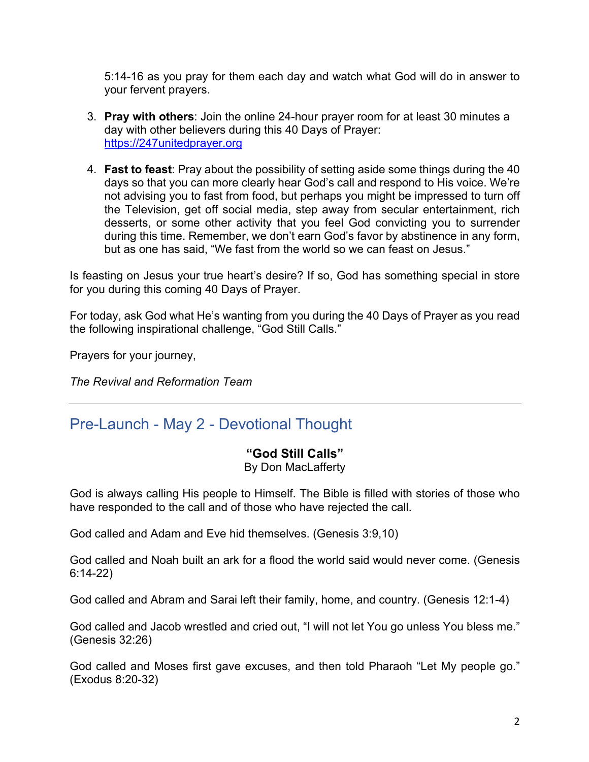5:14-16 as you pray for them each day and watch what God will do in answer to your fervent prayers.

- 3. **Pray with others**: Join the online 24-hour prayer room for at least 30 minutes a day with other believers during this 40 Days of Prayer: https://247unitedprayer.org
- 4. **Fast to feast**: Pray about the possibility of setting aside some things during the 40 days so that you can more clearly hear God's call and respond to His voice. We're not advising you to fast from food, but perhaps you might be impressed to turn off the Television, get off social media, step away from secular entertainment, rich desserts, or some other activity that you feel God convicting you to surrender during this time. Remember, we don't earn God's favor by abstinence in any form, but as one has said, "We fast from the world so we can feast on Jesus."

Is feasting on Jesus your true heart's desire? If so, God has something special in store for you during this coming 40 Days of Prayer.

For today, ask God what He's wanting from you during the 40 Days of Prayer as you read the following inspirational challenge, "God Still Calls."

Prayers for your journey,

*The Revival and Reformation Team*

# Pre-Launch - May 2 - Devotional Thought

### **"God Still Calls"**

#### By Don MacLafferty

God is always calling His people to Himself. The Bible is filled with stories of those who have responded to the call and of those who have rejected the call.

God called and Adam and Eve hid themselves. (Genesis 3:9,10)

God called and Noah built an ark for a flood the world said would never come. (Genesis 6:14-22)

God called and Abram and Sarai left their family, home, and country. (Genesis 12:1-4)

God called and Jacob wrestled and cried out, "I will not let You go unless You bless me." (Genesis 32:26)

God called and Moses first gave excuses, and then told Pharaoh "Let My people go." (Exodus 8:20-32)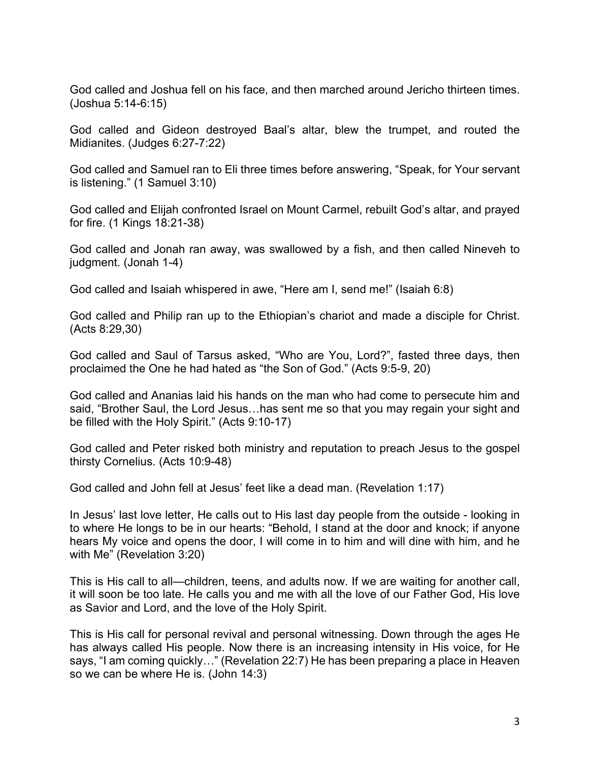God called and Joshua fell on his face, and then marched around Jericho thirteen times. (Joshua 5:14-6:15)

God called and Gideon destroyed Baal's altar, blew the trumpet, and routed the Midianites. (Judges 6:27-7:22)

God called and Samuel ran to Eli three times before answering, "Speak, for Your servant is listening." (1 Samuel 3:10)

God called and Elijah confronted Israel on Mount Carmel, rebuilt God's altar, and prayed for fire. (1 Kings 18:21-38)

God called and Jonah ran away, was swallowed by a fish, and then called Nineveh to judgment. (Jonah 1-4)

God called and Isaiah whispered in awe, "Here am I, send me!" (Isaiah 6:8)

God called and Philip ran up to the Ethiopian's chariot and made a disciple for Christ. (Acts 8:29,30)

God called and Saul of Tarsus asked, "Who are You, Lord?", fasted three days, then proclaimed the One he had hated as "the Son of God." (Acts 9:5-9, 20)

God called and Ananias laid his hands on the man who had come to persecute him and said, "Brother Saul, the Lord Jesus…has sent me so that you may regain your sight and be filled with the Holy Spirit." (Acts 9:10-17)

God called and Peter risked both ministry and reputation to preach Jesus to the gospel thirsty Cornelius. (Acts 10:9-48)

God called and John fell at Jesus' feet like a dead man. (Revelation 1:17)

In Jesus' last love letter, He calls out to His last day people from the outside - looking in to where He longs to be in our hearts: "Behold, I stand at the door and knock; if anyone hears My voice and opens the door, I will come in to him and will dine with him, and he with Me" (Revelation 3:20)

This is His call to all—children, teens, and adults now. If we are waiting for another call, it will soon be too late. He calls you and me with all the love of our Father God, His love as Savior and Lord, and the love of the Holy Spirit.

This is His call for personal revival and personal witnessing. Down through the ages He has always called His people. Now there is an increasing intensity in His voice, for He says, "I am coming quickly…" (Revelation 22:7) He has been preparing a place in Heaven so we can be where He is. (John 14:3)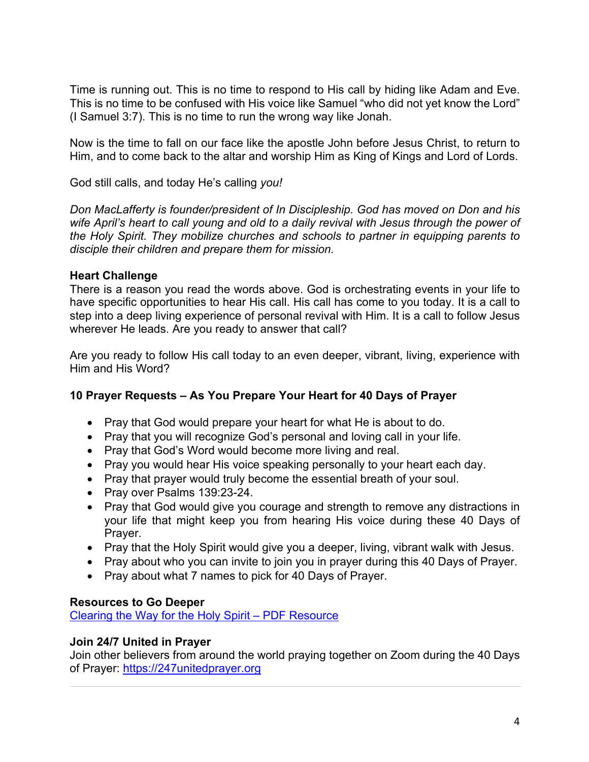Time is running out. This is no time to respond to His call by hiding like Adam and Eve. This is no time to be confused with His voice like Samuel "who did not yet know the Lord" (I Samuel 3:7). This is no time to run the wrong way like Jonah.

Now is the time to fall on our face like the apostle John before Jesus Christ, to return to Him, and to come back to the altar and worship Him as King of Kings and Lord of Lords.

God still calls, and today He's calling *you!*

*Don MacLafferty is founder/president of In Discipleship. God has moved on Don and his wife April's heart to call young and old to a daily revival with Jesus through the power of the Holy Spirit. They mobilize churches and schools to partner in equipping parents to disciple their children and prepare them for mission.*

#### **Heart Challenge**

There is a reason you read the words above. God is orchestrating events in your life to have specific opportunities to hear His call. His call has come to you today. It is a call to step into a deep living experience of personal revival with Him. It is a call to follow Jesus wherever He leads. Are you ready to answer that call?

Are you ready to follow His call today to an even deeper, vibrant, living, experience with Him and His Word?

#### **10 Prayer Requests – As You Prepare Your Heart for 40 Days of Prayer**

- Pray that God would prepare your heart for what He is about to do.
- Pray that you will recognize God's personal and loving call in your life.
- Pray that God's Word would become more living and real.
- Pray you would hear His voice speaking personally to your heart each day.
- Pray that prayer would truly become the essential breath of your soul.
- Pray over Psalms 139:23-24.
- Pray that God would give you courage and strength to remove any distractions in your life that might keep you from hearing His voice during these 40 Days of Prayer.
- Pray that the Holy Spirit would give you a deeper, living, vibrant walk with Jesus.
- Pray about who you can invite to join you in prayer during this 40 Days of Prayer.
- Pray about what 7 names to pick for 40 Days of Prayer.

#### **Resources to Go Deeper**

Clearing the Way for the Holy Spirit – PDF Resource

#### **Join 24/7 United in Prayer**

Join other believers from around the world praying together on Zoom during the 40 Days of Prayer: https://247unitedprayer.org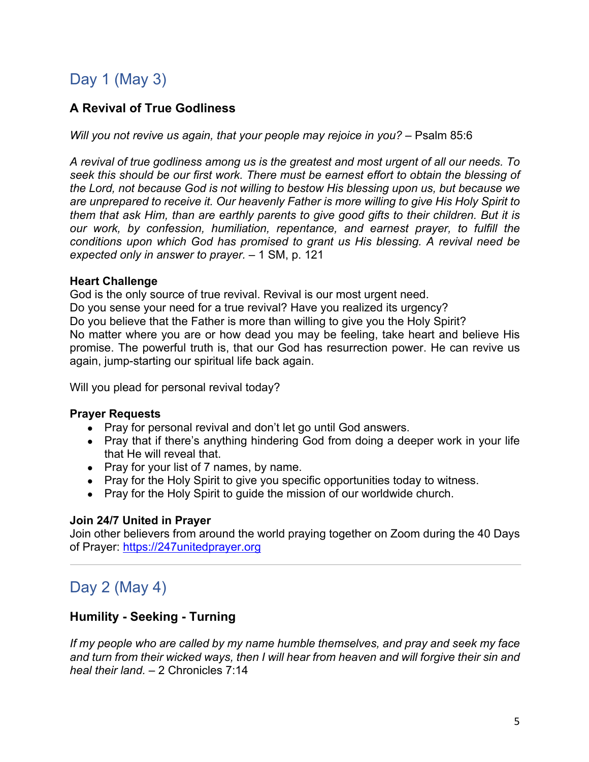# Day 1 (May 3)

# **A Revival of True Godliness**

*Will you not revive us again, that your people may rejoice in you?* – Psalm 85:6

*A revival of true godliness among us is the greatest and most urgent of all our needs. To seek this should be our first work. There must be earnest effort to obtain the blessing of the Lord, not because God is not willing to bestow His blessing upon us, but because we are unprepared to receive it. Our heavenly Father is more willing to give His Holy Spirit to them that ask Him, than are earthly parents to give good gifts to their children. But it is our work, by confession, humiliation, repentance, and earnest prayer, to fulfill the conditions upon which God has promised to grant us His blessing. A revival need be expected only in answer to prayer.* – 1 SM, p. 121

#### **Heart Challenge**

God is the only source of true revival. Revival is our most urgent need. Do you sense your need for a true revival? Have you realized its urgency? Do you believe that the Father is more than willing to give you the Holy Spirit? No matter where you are or how dead you may be feeling, take heart and believe His promise. The powerful truth is, that our God has resurrection power. He can revive us again, jump-starting our spiritual life back again.

Will you plead for personal revival today?

#### **Prayer Requests**

- Pray for personal revival and don't let go until God answers.
- Pray that if there's anything hindering God from doing a deeper work in your life that He will reveal that.
- Pray for your list of 7 names, by name.
- Pray for the Holy Spirit to give you specific opportunities today to witness.
- Pray for the Holy Spirit to guide the mission of our worldwide church.

### **Join 24/7 United in Prayer**

Join other believers from around the world praying together on Zoom during the 40 Days of Prayer: https://247unitedprayer.org

# Day 2 (May 4)

### **Humility - Seeking - Turning**

*If my people who are called by my name humble themselves, and pray and seek my face and turn from their wicked ways, then I will hear from heaven and will forgive their sin and heal their land.* – 2 Chronicles 7:14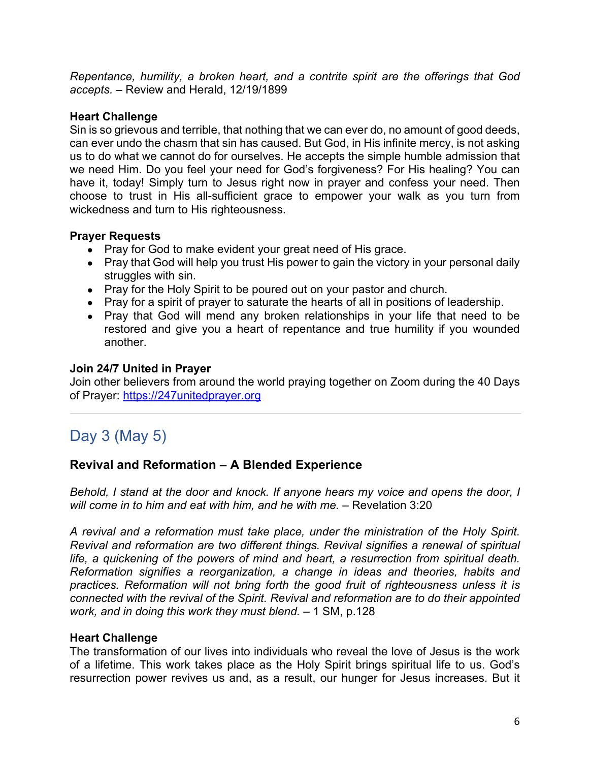*Repentance, humility, a broken heart, and a contrite spirit are the offerings that God accepts.* – Review and Herald, 12/19/1899

#### **Heart Challenge**

Sin is so grievous and terrible, that nothing that we can ever do, no amount of good deeds, can ever undo the chasm that sin has caused. But God, in His infinite mercy, is not asking us to do what we cannot do for ourselves. He accepts the simple humble admission that we need Him. Do you feel your need for God's forgiveness? For His healing? You can have it, today! Simply turn to Jesus right now in prayer and confess your need. Then choose to trust in His all-sufficient grace to empower your walk as you turn from wickedness and turn to His righteousness.

#### **Prayer Requests**

- Pray for God to make evident your great need of His grace.
- Pray that God will help you trust His power to gain the victory in your personal daily struggles with sin.
- Pray for the Holy Spirit to be poured out on your pastor and church.
- Pray for a spirit of prayer to saturate the hearts of all in positions of leadership.
- Pray that God will mend any broken relationships in your life that need to be restored and give you a heart of repentance and true humility if you wounded another.

#### **Join 24/7 United in Prayer**

Join other believers from around the world praying together on Zoom during the 40 Days of Prayer: https://247unitedprayer.org

# Day 3 (May 5)

### **Revival and Reformation – A Blended Experience**

*Behold, I stand at the door and knock. If anyone hears my voice and opens the door, I will come in to him and eat with him, and he with me.* – Revelation 3:20

*A revival and a reformation must take place, under the ministration of the Holy Spirit. Revival and reformation are two different things. Revival signifies a renewal of spiritual life, a quickening of the powers of mind and heart, a resurrection from spiritual death. Reformation signifies a reorganization, a change in ideas and theories, habits and practices. Reformation will not bring forth the good fruit of righteousness unless it is connected with the revival of the Spirit. Revival and reformation are to do their appointed work, and in doing this work they must blend.* – 1 SM, p.128

#### **Heart Challenge**

The transformation of our lives into individuals who reveal the love of Jesus is the work of a lifetime. This work takes place as the Holy Spirit brings spiritual life to us. God's resurrection power revives us and, as a result, our hunger for Jesus increases. But it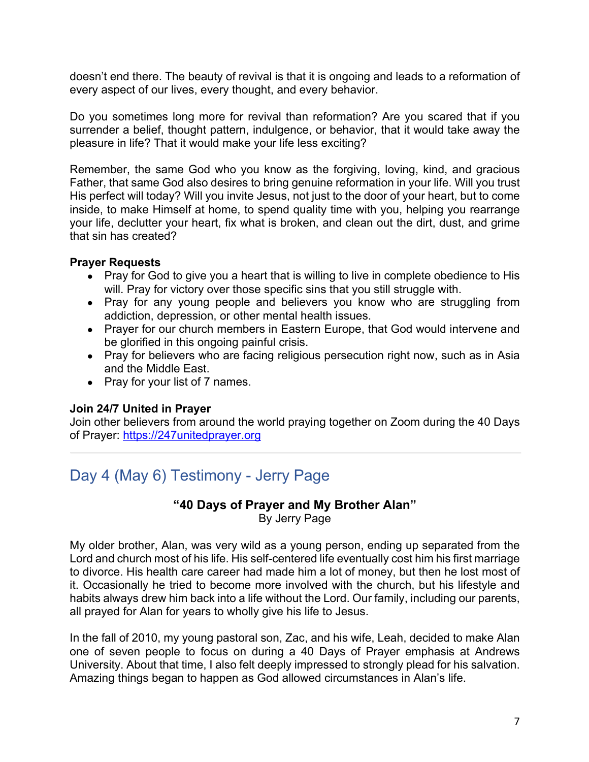doesn't end there. The beauty of revival is that it is ongoing and leads to a reformation of every aspect of our lives, every thought, and every behavior.

Do you sometimes long more for revival than reformation? Are you scared that if you surrender a belief, thought pattern, indulgence, or behavior, that it would take away the pleasure in life? That it would make your life less exciting?

Remember, the same God who you know as the forgiving, loving, kind, and gracious Father, that same God also desires to bring genuine reformation in your life. Will you trust His perfect will today? Will you invite Jesus, not just to the door of your heart, but to come inside, to make Himself at home, to spend quality time with you, helping you rearrange your life, declutter your heart, fix what is broken, and clean out the dirt, dust, and grime that sin has created?

#### **Prayer Requests**

- Pray for God to give you a heart that is willing to live in complete obedience to His will. Pray for victory over those specific sins that you still struggle with.
- Pray for any young people and believers you know who are struggling from addiction, depression, or other mental health issues.
- Prayer for our church members in Eastern Europe, that God would intervene and be glorified in this ongoing painful crisis.
- Pray for believers who are facing religious persecution right now, such as in Asia and the Middle East.
- Pray for your list of 7 names.

### **Join 24/7 United in Prayer**

Join other believers from around the world praying together on Zoom during the 40 Days of Prayer: https://247unitedprayer.org

# Day 4 (May 6) Testimony - Jerry Page

# **"40 Days of Prayer and My Brother Alan"**

By Jerry Page

My older brother, Alan, was very wild as a young person, ending up separated from the Lord and church most of his life. His self-centered life eventually cost him his first marriage to divorce. His health care career had made him a lot of money, but then he lost most of it. Occasionally he tried to become more involved with the church, but his lifestyle and habits always drew him back into a life without the Lord. Our family, including our parents, all prayed for Alan for years to wholly give his life to Jesus.

In the fall of 2010, my young pastoral son, Zac, and his wife, Leah, decided to make Alan one of seven people to focus on during a 40 Days of Prayer emphasis at Andrews University. About that time, I also felt deeply impressed to strongly plead for his salvation. Amazing things began to happen as God allowed circumstances in Alan's life.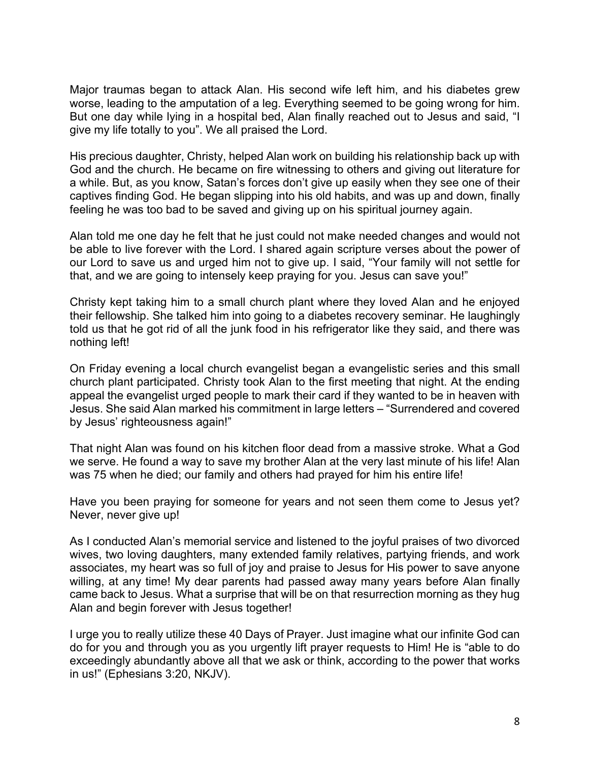Major traumas began to attack Alan. His second wife left him, and his diabetes grew worse, leading to the amputation of a leg. Everything seemed to be going wrong for him. But one day while lying in a hospital bed, Alan finally reached out to Jesus and said, "I give my life totally to you". We all praised the Lord.

His precious daughter, Christy, helped Alan work on building his relationship back up with God and the church. He became on fire witnessing to others and giving out literature for a while. But, as you know, Satan's forces don't give up easily when they see one of their captives finding God. He began slipping into his old habits, and was up and down, finally feeling he was too bad to be saved and giving up on his spiritual journey again.

Alan told me one day he felt that he just could not make needed changes and would not be able to live forever with the Lord. I shared again scripture verses about the power of our Lord to save us and urged him not to give up. I said, "Your family will not settle for that, and we are going to intensely keep praying for you. Jesus can save you!"

Christy kept taking him to a small church plant where they loved Alan and he enjoyed their fellowship. She talked him into going to a diabetes recovery seminar. He laughingly told us that he got rid of all the junk food in his refrigerator like they said, and there was nothing left!

On Friday evening a local church evangelist began a evangelistic series and this small church plant participated. Christy took Alan to the first meeting that night. At the ending appeal the evangelist urged people to mark their card if they wanted to be in heaven with Jesus. She said Alan marked his commitment in large letters – "Surrendered and covered by Jesus' righteousness again!"

That night Alan was found on his kitchen floor dead from a massive stroke. What a God we serve. He found a way to save my brother Alan at the very last minute of his life! Alan was 75 when he died; our family and others had prayed for him his entire life!

Have you been praying for someone for years and not seen them come to Jesus yet? Never, never give up!

As I conducted Alan's memorial service and listened to the joyful praises of two divorced wives, two loving daughters, many extended family relatives, partying friends, and work associates, my heart was so full of joy and praise to Jesus for His power to save anyone willing, at any time! My dear parents had passed away many years before Alan finally came back to Jesus. What a surprise that will be on that resurrection morning as they hug Alan and begin forever with Jesus together!

I urge you to really utilize these 40 Days of Prayer. Just imagine what our infinite God can do for you and through you as you urgently lift prayer requests to Him! He is "able to do exceedingly abundantly above all that we ask or think, according to the power that works in us!" (Ephesians 3:20, NKJV).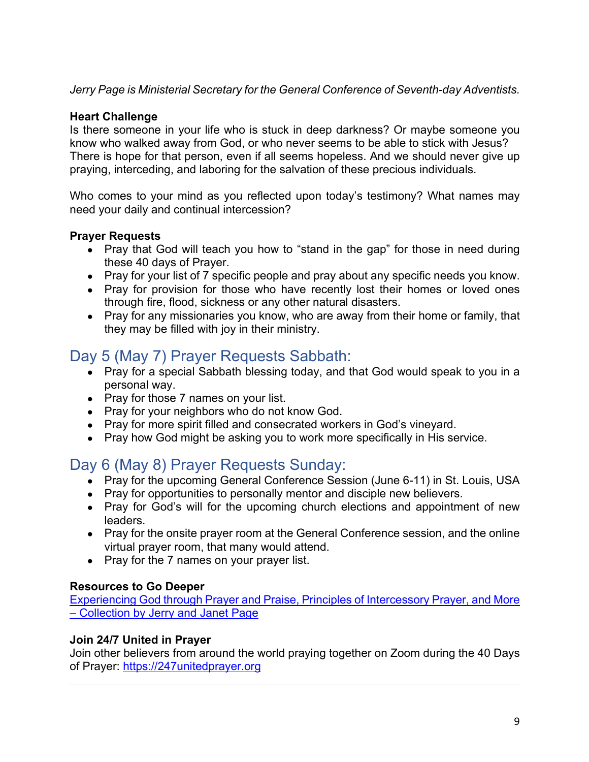*Jerry Page is Ministerial Secretary for the General Conference of Seventh-day Adventists.* 

#### **Heart Challenge**

Is there someone in your life who is stuck in deep darkness? Or maybe someone you know who walked away from God, or who never seems to be able to stick with Jesus? There is hope for that person, even if all seems hopeless. And we should never give up praying, interceding, and laboring for the salvation of these precious individuals.

Who comes to your mind as you reflected upon today's testimony? What names may need your daily and continual intercession?

#### **Prayer Requests**

- Pray that God will teach you how to "stand in the gap" for those in need during these 40 days of Prayer.
- Pray for your list of 7 specific people and pray about any specific needs you know.
- Pray for provision for those who have recently lost their homes or loved ones through fire, flood, sickness or any other natural disasters.
- Pray for any missionaries you know, who are away from their home or family, that they may be filled with joy in their ministry.

# Day 5 (May 7) Prayer Requests Sabbath:

- Pray for a special Sabbath blessing today, and that God would speak to you in a personal way.
- Pray for those 7 names on your list.
- Pray for your neighbors who do not know God.
- Pray for more spirit filled and consecrated workers in God's vineyard.
- Pray how God might be asking you to work more specifically in His service.

# Day 6 (May 8) Prayer Requests Sunday:

- Pray for the upcoming General Conference Session (June 6-11) in St. Louis, USA
- Pray for opportunities to personally mentor and disciple new believers.
- Pray for God's will for the upcoming church elections and appointment of new leaders.
- Pray for the onsite prayer room at the General Conference session, and the online virtual prayer room, that many would attend.
- Pray for the 7 names on your prayer list.

### **Resources to Go Deeper**

Experiencing God through Prayer and Praise, Principles of Intercessory Prayer, and More – Collection by Jerry and Janet Page

### **Join 24/7 United in Prayer**

Join other believers from around the world praying together on Zoom during the 40 Days of Prayer: https://247unitedprayer.org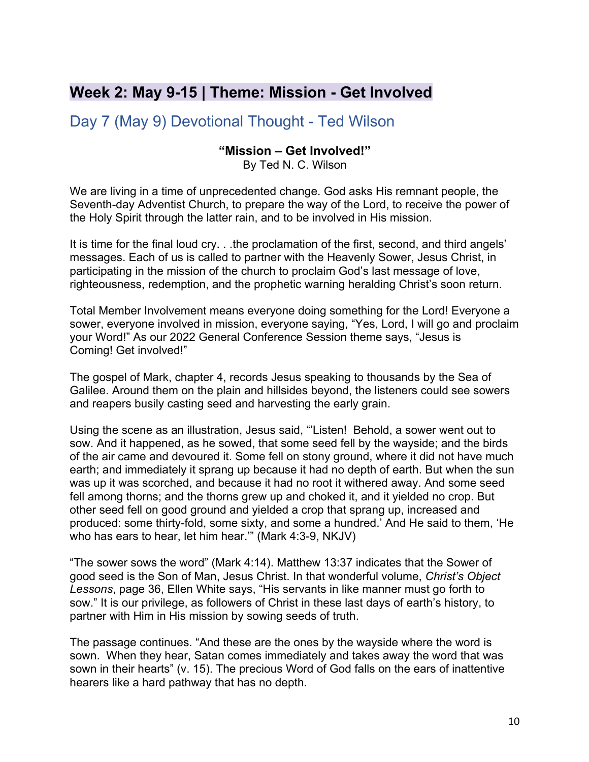# **Week 2: May 9-15 | Theme: Mission - Get Involved**

Day 7 (May 9) Devotional Thought - Ted Wilson

#### **"Mission – Get Involved!"**

By Ted N. C. Wilson

We are living in a time of unprecedented change. God asks His remnant people, the Seventh-day Adventist Church, to prepare the way of the Lord, to receive the power of the Holy Spirit through the latter rain, and to be involved in His mission.

It is time for the final loud cry. . .the proclamation of the first, second, and third angels' messages. Each of us is called to partner with the Heavenly Sower, Jesus Christ, in participating in the mission of the church to proclaim God's last message of love, righteousness, redemption, and the prophetic warning heralding Christ's soon return.

Total Member Involvement means everyone doing something for the Lord! Everyone a sower, everyone involved in mission, everyone saying, "Yes, Lord, I will go and proclaim your Word!" As our 2022 General Conference Session theme says, "Jesus is Coming! Get involved!"

The gospel of Mark, chapter 4, records Jesus speaking to thousands by the Sea of Galilee. Around them on the plain and hillsides beyond, the listeners could see sowers and reapers busily casting seed and harvesting the early grain.

Using the scene as an illustration, Jesus said, "'Listen! Behold, a sower went out to sow. And it happened, as he sowed, that some seed fell by the wayside; and the birds of the air came and devoured it. Some fell on stony ground, where it did not have much earth; and immediately it sprang up because it had no depth of earth. But when the sun was up it was scorched, and because it had no root it withered away. And some seed fell among thorns; and the thorns grew up and choked it, and it yielded no crop. But other seed fell on good ground and yielded a crop that sprang up, increased and produced: some thirty-fold, some sixty, and some a hundred.' And He said to them, 'He who has ears to hear, let him hear.'" (Mark 4:3-9, NKJV)

"The sower sows the word" (Mark 4:14). Matthew 13:37 indicates that the Sower of good seed is the Son of Man, Jesus Christ. In that wonderful volume, *Christ's Object Lessons*, page 36, Ellen White says, "His servants in like manner must go forth to sow." It is our privilege, as followers of Christ in these last days of earth's history, to partner with Him in His mission by sowing seeds of truth.

The passage continues. "And these are the ones by the wayside where the word is sown. When they hear, Satan comes immediately and takes away the word that was sown in their hearts" (v. 15). The precious Word of God falls on the ears of inattentive hearers like a hard pathway that has no depth.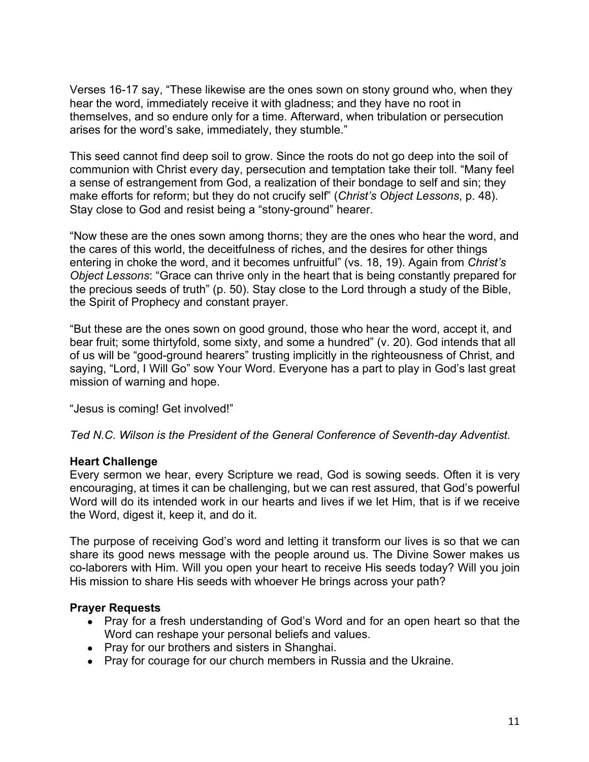Verses 16-17 say, "These likewise are the ones sown on stony ground who, when they hear the word, immediately receive it with gladness; and they have no root in themselves, and so endure only for a time. Afterward, when tribulation or persecution arises for the word's sake, immediately, they stumble."

This seed cannot find deep soil to grow. Since the roots do not go deep into the soil of communion with Christ every day, persecution and temptation take their toll. "Many feel a sense of estrangement from God, a realization of their bondage to self and sin; they make efforts for reform; but they do not crucify self" (*Christ's Object Lessons*, p. 48). Stay close to God and resist being a "stony-ground" hearer.

"Now these are the ones sown among thorns; they are the ones who hear the word, and the cares of this world, the deceitfulness of riches, and the desires for other things entering in choke the word, and it becomes unfruitful" (vs. 18, 19). Again from *Christ's Object Lessons*: "Grace can thrive only in the heart that is being constantly prepared for the precious seeds of truth" (p. 50). Stay close to the Lord through a study of the Bible, the Spirit of Prophecy and constant prayer.

"But these are the ones sown on good ground, those who hear the word, accept it, and bear fruit; some thirtyfold, some sixty, and some a hundred" (v. 20). God intends that all of us will be "good-ground hearers" trusting implicitly in the righteousness of Christ, and saying, "Lord, I Will Go" sow Your Word. Everyone has a part to play in God's last great mission of warning and hope.

"Jesus is coming! Get involved!"

*Ted N.C. Wilson is the President of the General Conference of Seventh-day Adventist.*

#### **Heart Challenge**

Every sermon we hear, every Scripture we read, God is sowing seeds. Often it is very encouraging, at times it can be challenging, but we can rest assured, that God's powerful Word will do its intended work in our hearts and lives if we let Him, that is if we receive the Word, digest it, keep it, and do it.

The purpose of receiving God's word and letting it transform our lives is so that we can share its good news message with the people around us. The Divine Sower makes us co-laborers with Him. Will you open your heart to receive His seeds today? Will you join His mission to share His seeds with whoever He brings across your path?

- Pray for a fresh understanding of God's Word and for an open heart so that the Word can reshape your personal beliefs and values.
- Pray for our brothers and sisters in Shanghai.
- Pray for courage for our church members in Russia and the Ukraine.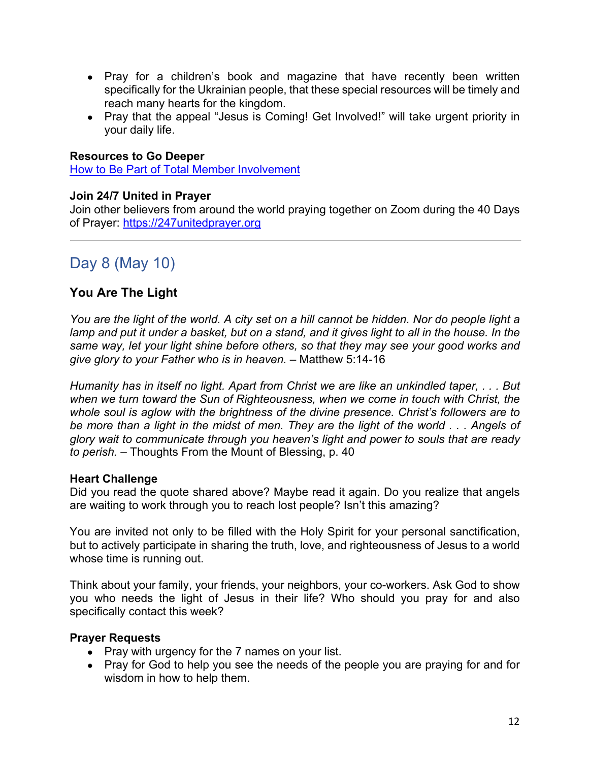- Pray for a children's book and magazine that have recently been written specifically for the Ukrainian people, that these special resources will be timely and reach many hearts for the kingdom.
- Pray that the appeal "Jesus is Coming! Get Involved!" will take urgent priority in your daily life.

#### **Resources to Go Deeper**

How to Be Part of Total Member Involvement

#### **Join 24/7 United in Prayer**

Join other believers from around the world praying together on Zoom during the 40 Days of Prayer: https://247unitedprayer.org

# Day 8 (May 10)

### **You Are The Light**

*You are the light of the world. A city set on a hill cannot be hidden. Nor do people light a lamp and put it under a basket, but on a stand, and it gives light to all in the house. In the same way, let your light shine before others, so that they may see your good works and give glory to your Father who is in heaven.* – Matthew 5:14-16

*Humanity has in itself no light. Apart from Christ we are like an unkindled taper, . . . But when we turn toward the Sun of Righteousness, when we come in touch with Christ, the whole soul is aglow with the brightness of the divine presence. Christ's followers are to be more than a light in the midst of men. They are the light of the world . . . Angels of glory wait to communicate through you heaven's light and power to souls that are ready to perish.* – Thoughts From the Mount of Blessing, p. 40

#### **Heart Challenge**

Did you read the quote shared above? Maybe read it again. Do you realize that angels are waiting to work through you to reach lost people? Isn't this amazing?

You are invited not only to be filled with the Holy Spirit for your personal sanctification, but to actively participate in sharing the truth, love, and righteousness of Jesus to a world whose time is running out.

Think about your family, your friends, your neighbors, your co-workers. Ask God to show you who needs the light of Jesus in their life? Who should you pray for and also specifically contact this week?

- Pray with urgency for the 7 names on your list.
- Pray for God to help you see the needs of the people you are praying for and for wisdom in how to help them.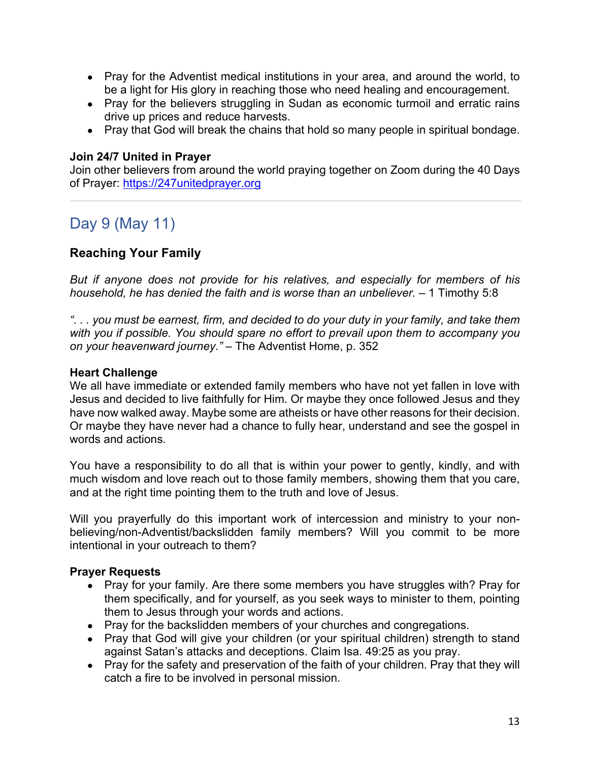- Pray for the Adventist medical institutions in your area, and around the world, to be a light for His glory in reaching those who need healing and encouragement.
- Pray for the believers struggling in Sudan as economic turmoil and erratic rains drive up prices and reduce harvests.
- Pray that God will break the chains that hold so many people in spiritual bondage.

#### **Join 24/7 United in Prayer**

Join other believers from around the world praying together on Zoom during the 40 Days of Prayer: https://247unitedprayer.org

# Day 9 (May 11)

### **Reaching Your Family**

*But if anyone does not provide for his relatives, and especially for members of his household, he has denied the faith and is worse than an unbeliever.* – 1 Timothy 5:8

*". . . you must be earnest, firm, and decided to do your duty in your family, and take them with you if possible. You should spare no effort to prevail upon them to accompany you on your heavenward journey."* – The Adventist Home, p. 352

#### **Heart Challenge**

We all have immediate or extended family members who have not yet fallen in love with Jesus and decided to live faithfully for Him. Or maybe they once followed Jesus and they have now walked away. Maybe some are atheists or have other reasons for their decision. Or maybe they have never had a chance to fully hear, understand and see the gospel in words and actions.

You have a responsibility to do all that is within your power to gently, kindly, and with much wisdom and love reach out to those family members, showing them that you care, and at the right time pointing them to the truth and love of Jesus.

Will you prayerfully do this important work of intercession and ministry to your nonbelieving/non-Adventist/backslidden family members? Will you commit to be more intentional in your outreach to them?

- Pray for your family. Are there some members you have struggles with? Pray for them specifically, and for yourself, as you seek ways to minister to them, pointing them to Jesus through your words and actions.
- Pray for the backslidden members of your churches and congregations.
- Pray that God will give your children (or your spiritual children) strength to stand against Satan's attacks and deceptions. Claim Isa. 49:25 as you pray.
- Pray for the safety and preservation of the faith of your children. Pray that they will catch a fire to be involved in personal mission.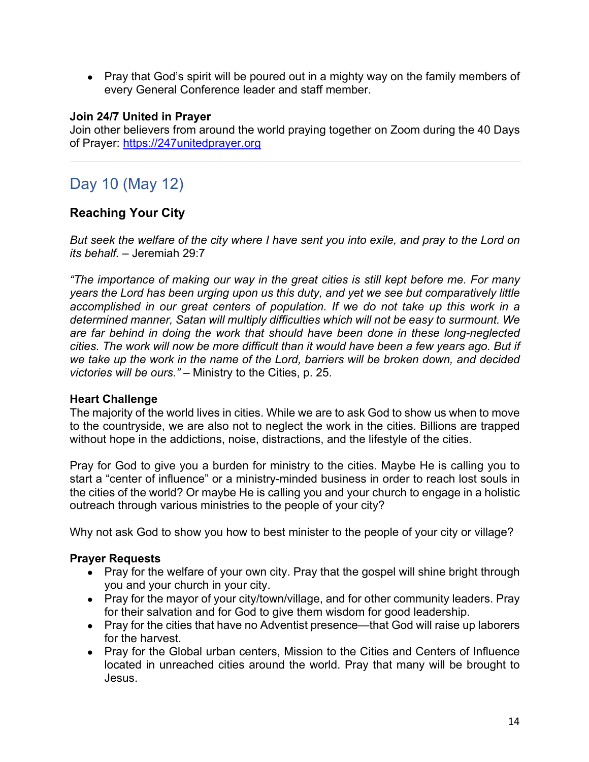• Pray that God's spirit will be poured out in a mighty way on the family members of every General Conference leader and staff member.

#### **Join 24/7 United in Prayer**

Join other believers from around the world praying together on Zoom during the 40 Days of Prayer: https://247unitedprayer.org

# Day 10 (May 12)

### **Reaching Your City**

*But seek the welfare of the city where I have sent you into exile, and pray to the Lord on its behalf.* – Jeremiah 29:7

*"The importance of making our way in the great cities is still kept before me. For many years the Lord has been urging upon us this duty, and yet we see but comparatively little accomplished in our great centers of population. If we do not take up this work in a determined manner, Satan will multiply difficulties which will not be easy to surmount. We are far behind in doing the work that should have been done in these long-neglected cities. The work will now be more difficult than it would have been a few years ago. But if we take up the work in the name of the Lord, barriers will be broken down, and decided victories will be ours."* – Ministry to the Cities, p. 25.

#### **Heart Challenge**

The majority of the world lives in cities. While we are to ask God to show us when to move to the countryside, we are also not to neglect the work in the cities. Billions are trapped without hope in the addictions, noise, distractions, and the lifestyle of the cities.

Pray for God to give you a burden for ministry to the cities. Maybe He is calling you to start a "center of influence" or a ministry-minded business in order to reach lost souls in the cities of the world? Or maybe He is calling you and your church to engage in a holistic outreach through various ministries to the people of your city?

Why not ask God to show you how to best minister to the people of your city or village?

- Pray for the welfare of your own city. Pray that the gospel will shine bright through you and your church in your city.
- Pray for the mayor of your city/town/village, and for other community leaders. Pray for their salvation and for God to give them wisdom for good leadership.
- Pray for the cities that have no Adventist presence—that God will raise up laborers for the harvest.
- Pray for the Global urban centers, Mission to the Cities and Centers of Influence located in unreached cities around the world. Pray that many will be brought to Jesus.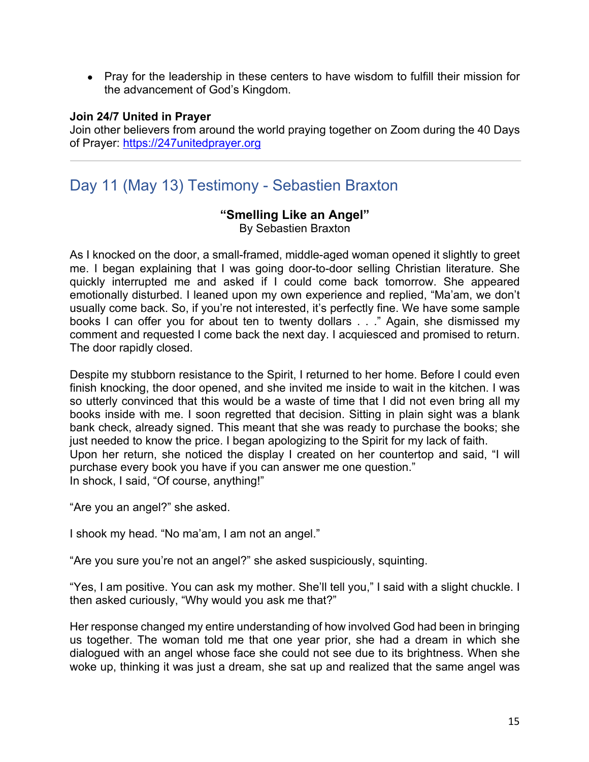• Pray for the leadership in these centers to have wisdom to fulfill their mission for the advancement of God's Kingdom.

#### **Join 24/7 United in Prayer**

Join other believers from around the world praying together on Zoom during the 40 Days of Prayer: https://247unitedprayer.org

# Day 11 (May 13) Testimony - Sebastien Braxton

# **"Smelling Like an Angel"**

By Sebastien Braxton

As I knocked on the door, a small-framed, middle-aged woman opened it slightly to greet me. I began explaining that I was going door-to-door selling Christian literature. She quickly interrupted me and asked if I could come back tomorrow. She appeared emotionally disturbed. I leaned upon my own experience and replied, "Ma'am, we don't usually come back. So, if you're not interested, it's perfectly fine. We have some sample books I can offer you for about ten to twenty dollars . . ." Again, she dismissed my comment and requested I come back the next day. I acquiesced and promised to return. The door rapidly closed.

Despite my stubborn resistance to the Spirit, I returned to her home. Before I could even finish knocking, the door opened, and she invited me inside to wait in the kitchen. I was so utterly convinced that this would be a waste of time that I did not even bring all my books inside with me. I soon regretted that decision. Sitting in plain sight was a blank bank check, already signed. This meant that she was ready to purchase the books; she just needed to know the price. I began apologizing to the Spirit for my lack of faith. Upon her return, she noticed the display I created on her countertop and said, "I will purchase every book you have if you can answer me one question." In shock, I said, "Of course, anything!"

"Are you an angel?" she asked.

I shook my head. "No ma'am, I am not an angel."

"Are you sure you're not an angel?" she asked suspiciously, squinting.

"Yes, I am positive. You can ask my mother. She'll tell you," I said with a slight chuckle. I then asked curiously, "Why would you ask me that?"

Her response changed my entire understanding of how involved God had been in bringing us together. The woman told me that one year prior, she had a dream in which she dialogued with an angel whose face she could not see due to its brightness. When she woke up, thinking it was just a dream, she sat up and realized that the same angel was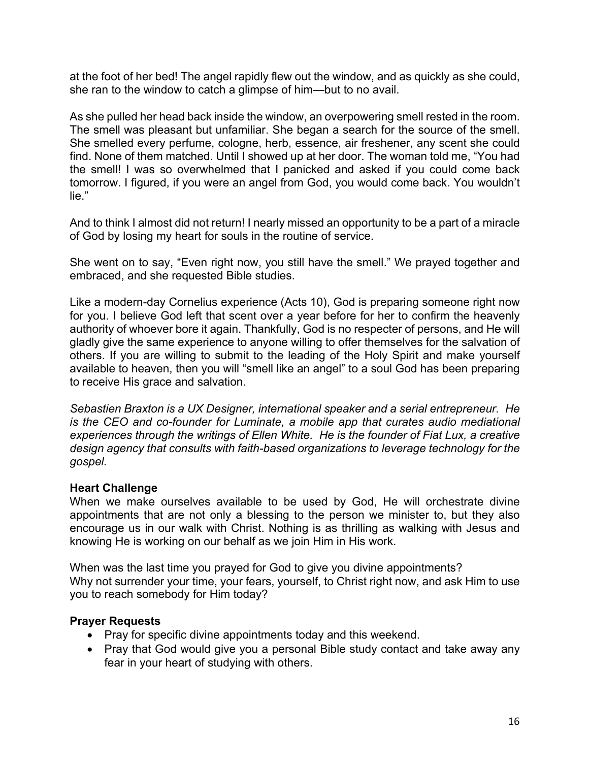at the foot of her bed! The angel rapidly flew out the window, and as quickly as she could, she ran to the window to catch a glimpse of him—but to no avail.

As she pulled her head back inside the window, an overpowering smell rested in the room. The smell was pleasant but unfamiliar. She began a search for the source of the smell. She smelled every perfume, cologne, herb, essence, air freshener, any scent she could find. None of them matched. Until I showed up at her door. The woman told me, "You had the smell! I was so overwhelmed that I panicked and asked if you could come back tomorrow. I figured, if you were an angel from God, you would come back. You wouldn't lie."

And to think I almost did not return! I nearly missed an opportunity to be a part of a miracle of God by losing my heart for souls in the routine of service.

She went on to say, "Even right now, you still have the smell." We prayed together and embraced, and she requested Bible studies.

Like a modern-day Cornelius experience (Acts 10), God is preparing someone right now for you. I believe God left that scent over a year before for her to confirm the heavenly authority of whoever bore it again. Thankfully, God is no respecter of persons, and He will gladly give the same experience to anyone willing to offer themselves for the salvation of others. If you are willing to submit to the leading of the Holy Spirit and make yourself available to heaven, then you will "smell like an angel" to a soul God has been preparing to receive His grace and salvation.

*Sebastien Braxton is a UX Designer, international speaker and a serial entrepreneur. He is the CEO and co-founder for Luminate, a mobile app that curates audio mediational experiences through the writings of Ellen White. He is the founder of Fiat Lux, a creative design agency that consults with faith-based organizations to leverage technology for the gospel.*

#### **Heart Challenge**

When we make ourselves available to be used by God, He will orchestrate divine appointments that are not only a blessing to the person we minister to, but they also encourage us in our walk with Christ. Nothing is as thrilling as walking with Jesus and knowing He is working on our behalf as we join Him in His work.

When was the last time you prayed for God to give you divine appointments? Why not surrender your time, your fears, yourself, to Christ right now, and ask Him to use you to reach somebody for Him today?

- Pray for specific divine appointments today and this weekend.
- Pray that God would give you a personal Bible study contact and take away any fear in your heart of studying with others.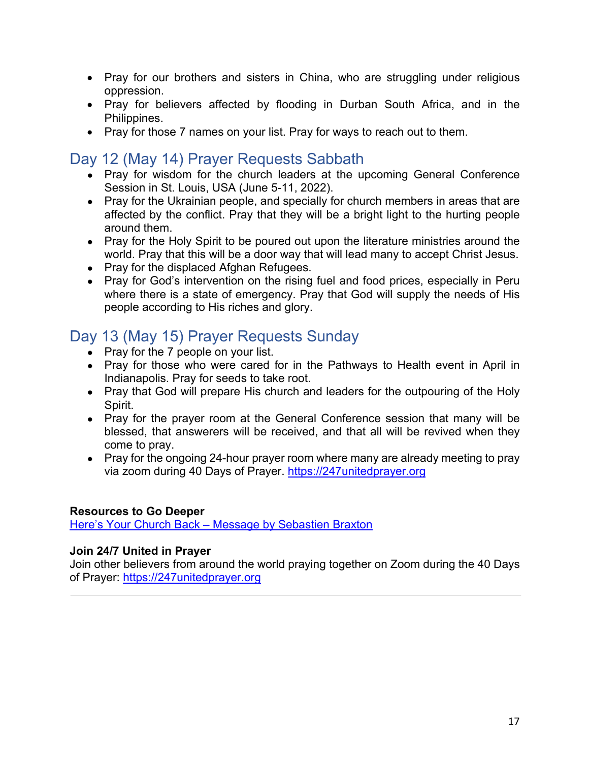- Pray for our brothers and sisters in China, who are struggling under religious oppression.
- Pray for believers affected by flooding in Durban South Africa, and in the Philippines.
- Pray for those 7 names on your list. Pray for ways to reach out to them.

# Day 12 (May 14) Prayer Requests Sabbath

- $\bullet$  Pray for wisdom for the church leaders at the upcoming General Conference Session in St. Louis, USA (June 5-11, 2022).
- Pray for the Ukrainian people, and specially for church members in areas that are affected by the conflict. Pray that they will be a bright light to the hurting people around them.
- Pray for the Holy Spirit to be poured out upon the literature ministries around the world. Pray that this will be a door way that will lead many to accept Christ Jesus.
- Pray for the displaced Afghan Refugees.
- Pray for God's intervention on the rising fuel and food prices, especially in Peru where there is a state of emergency. Pray that God will supply the needs of His people according to His riches and glory.

# Day 13 (May 15) Prayer Requests Sunday

- Pray for the 7 people on your list.
- Pray for those who were cared for in the Pathways to Health event in April in Indianapolis. Pray for seeds to take root.
- Pray that God will prepare His church and leaders for the outpouring of the Holy Spirit.
- Pray for the prayer room at the General Conference session that many will be blessed, that answerers will be received, and that all will be revived when they come to pray.
- Pray for the ongoing 24-hour prayer room where many are already meeting to pray via zoom during 40 Days of Prayer. https://247unitedprayer.org

#### **Resources to Go Deeper**

Here's Your Church Back – Message by Sebastien Braxton

### **Join 24/7 United in Prayer**

Join other believers from around the world praying together on Zoom during the 40 Days of Prayer: https://247unitedprayer.org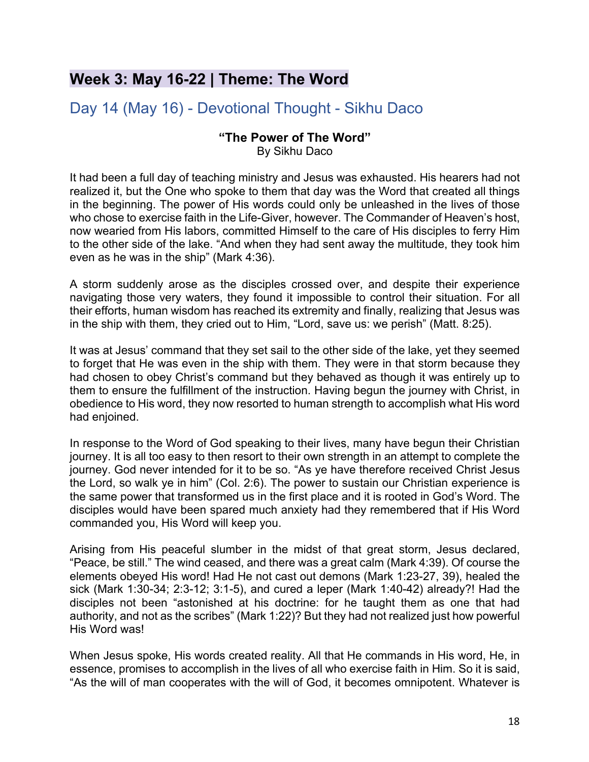# **Week 3: May 16-22 | Theme: The Word**

# Day 14 (May 16) - Devotional Thought - Sikhu Daco

# **"The Power of The Word"**

By Sikhu Daco

It had been a full day of teaching ministry and Jesus was exhausted. His hearers had not realized it, but the One who spoke to them that day was the Word that created all things in the beginning. The power of His words could only be unleashed in the lives of those who chose to exercise faith in the Life-Giver, however. The Commander of Heaven's host, now wearied from His labors, committed Himself to the care of His disciples to ferry Him to the other side of the lake. "And when they had sent away the multitude, they took him even as he was in the ship" (Mark 4:36).

A storm suddenly arose as the disciples crossed over, and despite their experience navigating those very waters, they found it impossible to control their situation. For all their efforts, human wisdom has reached its extremity and finally, realizing that Jesus was in the ship with them, they cried out to Him, "Lord, save us: we perish" (Matt. 8:25).

It was at Jesus' command that they set sail to the other side of the lake, yet they seemed to forget that He was even in the ship with them. They were in that storm because they had chosen to obey Christ's command but they behaved as though it was entirely up to them to ensure the fulfillment of the instruction. Having begun the journey with Christ, in obedience to His word, they now resorted to human strength to accomplish what His word had enjoined.

In response to the Word of God speaking to their lives, many have begun their Christian journey. It is all too easy to then resort to their own strength in an attempt to complete the journey. God never intended for it to be so. "As ye have therefore received Christ Jesus the Lord, so walk ye in him" (Col. 2:6). The power to sustain our Christian experience is the same power that transformed us in the first place and it is rooted in God's Word. The disciples would have been spared much anxiety had they remembered that if His Word commanded you, His Word will keep you.

Arising from His peaceful slumber in the midst of that great storm, Jesus declared, "Peace, be still." The wind ceased, and there was a great calm (Mark 4:39). Of course the elements obeyed His word! Had He not cast out demons (Mark 1:23-27, 39), healed the sick (Mark 1:30-34; 2:3-12; 3:1-5), and cured a leper (Mark 1:40-42) already?! Had the disciples not been "astonished at his doctrine: for he taught them as one that had authority, and not as the scribes" (Mark 1:22)? But they had not realized just how powerful His Word was!

When Jesus spoke, His words created reality. All that He commands in His word, He, in essence, promises to accomplish in the lives of all who exercise faith in Him. So it is said, "As the will of man cooperates with the will of God, it becomes omnipotent. Whatever is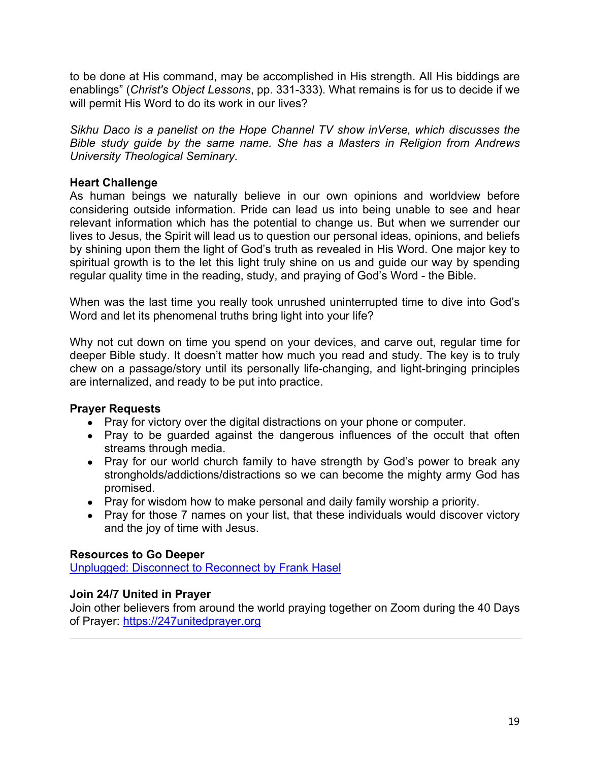to be done at His command, may be accomplished in His strength. All His biddings are enablings" (*Christ's Object Lessons*, pp. 331-333). What remains is for us to decide if we will permit His Word to do its work in our lives?

*Sikhu Daco is a panelist on the Hope Channel TV show inVerse, which discusses the Bible study guide by the same name. She has a Masters in Religion from Andrews University Theological Seminary.*

#### **Heart Challenge**

As human beings we naturally believe in our own opinions and worldview before considering outside information. Pride can lead us into being unable to see and hear relevant information which has the potential to change us. But when we surrender our lives to Jesus, the Spirit will lead us to question our personal ideas, opinions, and beliefs by shining upon them the light of God's truth as revealed in His Word. One major key to spiritual growth is to the let this light truly shine on us and guide our way by spending regular quality time in the reading, study, and praying of God's Word - the Bible.

When was the last time you really took unrushed uninterrupted time to dive into God's Word and let its phenomenal truths bring light into your life?

Why not cut down on time you spend on your devices, and carve out, regular time for deeper Bible study. It doesn't matter how much you read and study. The key is to truly chew on a passage/story until its personally life-changing, and light-bringing principles are internalized, and ready to be put into practice.

### **Prayer Requests**

- Pray for victory over the digital distractions on your phone or computer.
- Pray to be quarded against the dangerous influences of the occult that often streams through media.
- Pray for our world church family to have strength by God's power to break any strongholds/addictions/distractions so we can become the mighty army God has promised.
- Pray for wisdom how to make personal and daily family worship a priority.
- Pray for those 7 names on your list, that these individuals would discover victory and the joy of time with Jesus.

### **Resources to Go Deeper**

Unplugged: Disconnect to Reconnect by Frank Hasel

### **Join 24/7 United in Prayer**

Join other believers from around the world praying together on Zoom during the 40 Days of Prayer: https://247unitedprayer.org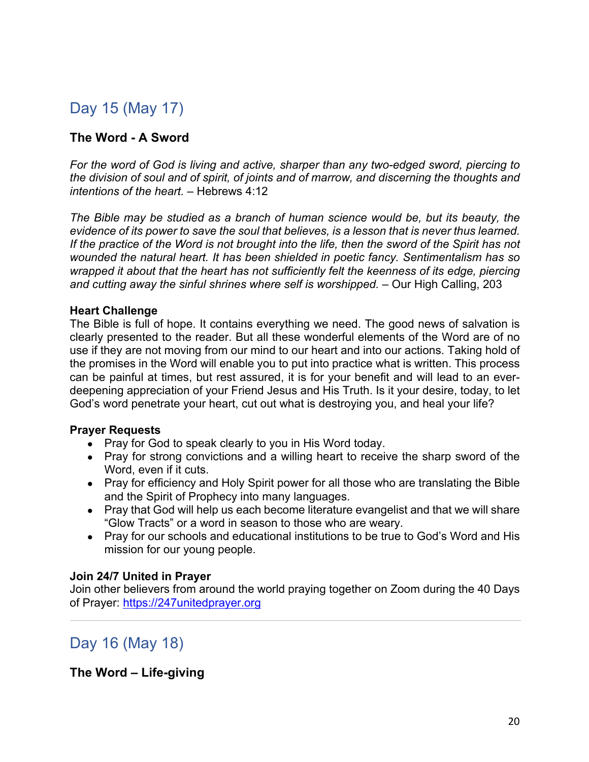# Day 15 (May 17)

### **The Word - A Sword**

*For the word of God is living and active, sharper than any two-edged sword, piercing to the division of soul and of spirit, of joints and of marrow, and discerning the thoughts and intentions of the heart.* – Hebrews 4:12

*The Bible may be studied as a branch of human science would be, but its beauty, the evidence of its power to save the soul that believes, is a lesson that is never thus learned. If the practice of the Word is not brought into the life, then the sword of the Spirit has not wounded the natural heart. It has been shielded in poetic fancy. Sentimentalism has so wrapped it about that the heart has not sufficiently felt the keenness of its edge, piercing and cutting away the sinful shrines where self is worshipped.* – Our High Calling, 203

#### **Heart Challenge**

The Bible is full of hope. It contains everything we need. The good news of salvation is clearly presented to the reader. But all these wonderful elements of the Word are of no use if they are not moving from our mind to our heart and into our actions. Taking hold of the promises in the Word will enable you to put into practice what is written. This process can be painful at times, but rest assured, it is for your benefit and will lead to an everdeepening appreciation of your Friend Jesus and His Truth. Is it your desire, today, to let God's word penetrate your heart, cut out what is destroying you, and heal your life?

#### **Prayer Requests**

- Pray for God to speak clearly to you in His Word today.
- Pray for strong convictions and a willing heart to receive the sharp sword of the Word, even if it cuts.
- Pray for efficiency and Holy Spirit power for all those who are translating the Bible and the Spirit of Prophecy into many languages.
- Pray that God will help us each become literature evangelist and that we will share "Glow Tracts" or a word in season to those who are weary.
- Pray for our schools and educational institutions to be true to God's Word and His mission for our young people.

#### **Join 24/7 United in Prayer**

Join other believers from around the world praying together on Zoom during the 40 Days of Prayer: https://247unitedprayer.org

Day 16 (May 18)

**The Word – Life-giving**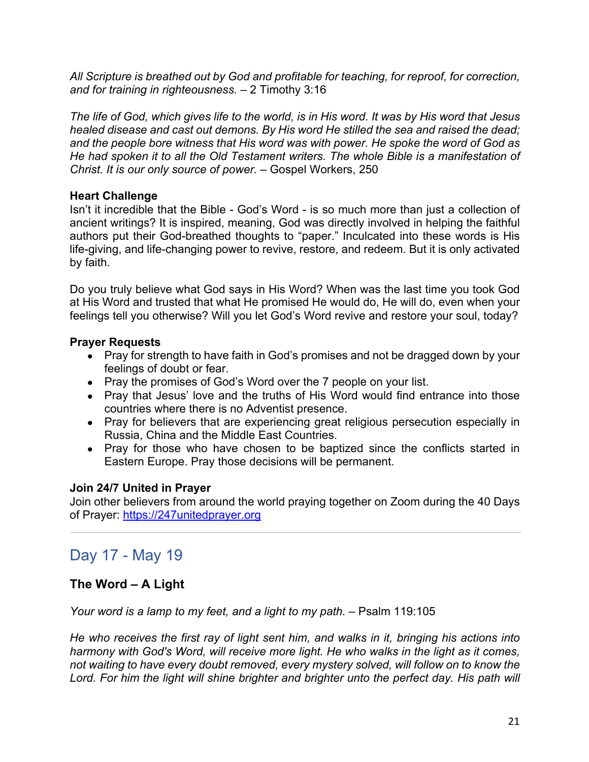*All Scripture is breathed out by God and profitable for teaching, for reproof, for correction, and for training in righteousness.* – 2 Timothy 3:16

*The life of God, which gives life to the world, is in His word. It was by His word that Jesus healed disease and cast out demons. By His word He stilled the sea and raised the dead; and the people bore witness that His word was with power. He spoke the word of God as He had spoken it to all the Old Testament writers. The whole Bible is a manifestation of Christ. It is our only source of power.* – Gospel Workers, 250

#### **Heart Challenge**

Isn't it incredible that the Bible - God's Word - is so much more than just a collection of ancient writings? It is inspired, meaning, God was directly involved in helping the faithful authors put their God-breathed thoughts to "paper." Inculcated into these words is His life-giving, and life-changing power to revive, restore, and redeem. But it is only activated by faith.

Do you truly believe what God says in His Word? When was the last time you took God at His Word and trusted that what He promised He would do, He will do, even when your feelings tell you otherwise? Will you let God's Word revive and restore your soul, today?

#### **Prayer Requests**

- Pray for strength to have faith in God's promises and not be dragged down by your feelings of doubt or fear.
- Pray the promises of God's Word over the 7 people on your list.
- Pray that Jesus' love and the truths of His Word would find entrance into those countries where there is no Adventist presence.
- Pray for believers that are experiencing great religious persecution especially in Russia, China and the Middle East Countries.
- Pray for those who have chosen to be baptized since the conflicts started in Eastern Europe. Pray those decisions will be permanent.

### **Join 24/7 United in Prayer**

Join other believers from around the world praying together on Zoom during the 40 Days of Prayer: https://247unitedprayer.org

# Day 17 - May 19

### **The Word – A Light**

*Your word is a lamp to my feet, and a light to my path.* – Psalm 119:105

*He who receives the first ray of light sent him, and walks in it, bringing his actions into harmony with God's Word, will receive more light. He who walks in the light as it comes, not waiting to have every doubt removed, every mystery solved, will follow on to know the*  Lord. For him the light will shine brighter and brighter unto the perfect day. His path will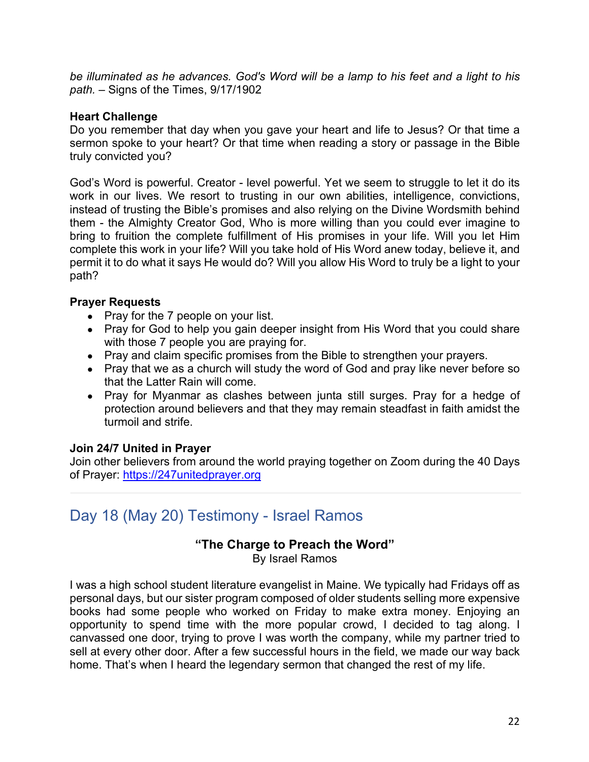*be illuminated as he advances. God's Word will be a lamp to his feet and a light to his path.* – Signs of the Times, 9/17/1902

#### **Heart Challenge**

Do you remember that day when you gave your heart and life to Jesus? Or that time a sermon spoke to your heart? Or that time when reading a story or passage in the Bible truly convicted you?

God's Word is powerful. Creator - level powerful. Yet we seem to struggle to let it do its work in our lives. We resort to trusting in our own abilities, intelligence, convictions, instead of trusting the Bible's promises and also relying on the Divine Wordsmith behind them - the Almighty Creator God, Who is more willing than you could ever imagine to bring to fruition the complete fulfillment of His promises in your life. Will you let Him complete this work in your life? Will you take hold of His Word anew today, believe it, and permit it to do what it says He would do? Will you allow His Word to truly be a light to your path?

#### **Prayer Requests**

- Pray for the 7 people on your list.
- Pray for God to help you gain deeper insight from His Word that you could share with those 7 people you are praying for.
- Pray and claim specific promises from the Bible to strengthen your prayers.
- Pray that we as a church will study the word of God and pray like never before so that the Latter Rain will come.
- Pray for Myanmar as clashes between junta still surges. Pray for a hedge of protection around believers and that they may remain steadfast in faith amidst the turmoil and strife.

### **Join 24/7 United in Prayer**

Join other believers from around the world praying together on Zoom during the 40 Days of Prayer: https://247unitedprayer.org

# Day 18 (May 20) Testimony - Israel Ramos

### **"The Charge to Preach the Word"**

By Israel Ramos

I was a high school student literature evangelist in Maine. We typically had Fridays off as personal days, but our sister program composed of older students selling more expensive books had some people who worked on Friday to make extra money. Enjoying an opportunity to spend time with the more popular crowd, I decided to tag along. I canvassed one door, trying to prove I was worth the company, while my partner tried to sell at every other door. After a few successful hours in the field, we made our way back home. That's when I heard the legendary sermon that changed the rest of my life.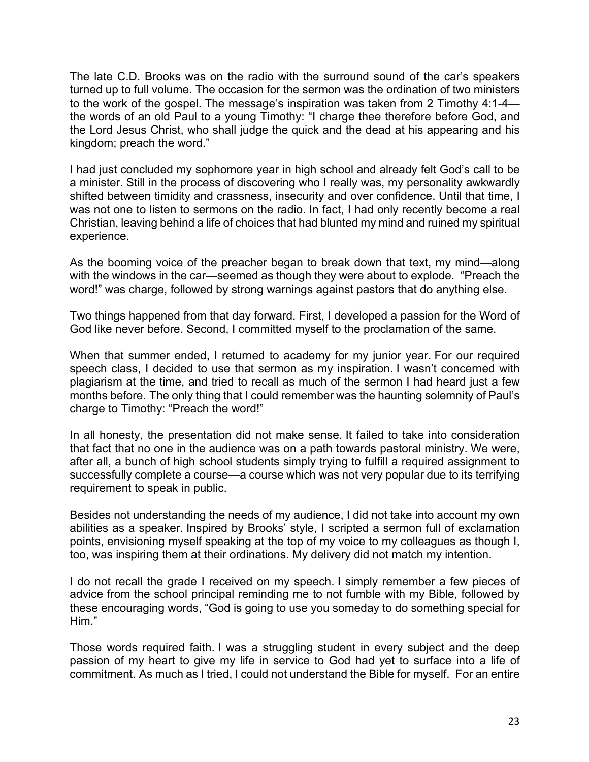The late C.D. Brooks was on the radio with the surround sound of the car's speakers turned up to full volume. The occasion for the sermon was the ordination of two ministers to the work of the gospel. The message's inspiration was taken from 2 Timothy 4:1-4 the words of an old Paul to a young Timothy: "I charge thee therefore before God, and the Lord Jesus Christ, who shall judge the quick and the dead at his appearing and his kingdom; preach the word."

I had just concluded my sophomore year in high school and already felt God's call to be a minister. Still in the process of discovering who I really was, my personality awkwardly shifted between timidity and crassness, insecurity and over confidence. Until that time, I was not one to listen to sermons on the radio. In fact, I had only recently become a real Christian, leaving behind a life of choices that had blunted my mind and ruined my spiritual experience.

As the booming voice of the preacher began to break down that text, my mind—along with the windows in the car—seemed as though they were about to explode. "Preach the word!" was charge, followed by strong warnings against pastors that do anything else.

Two things happened from that day forward. First, I developed a passion for the Word of God like never before. Second, I committed myself to the proclamation of the same.

When that summer ended, I returned to academy for my junior year. For our required speech class, I decided to use that sermon as my inspiration. I wasn't concerned with plagiarism at the time, and tried to recall as much of the sermon I had heard just a few months before. The only thing that I could remember was the haunting solemnity of Paul's charge to Timothy: "Preach the word!"

In all honesty, the presentation did not make sense. It failed to take into consideration that fact that no one in the audience was on a path towards pastoral ministry. We were, after all, a bunch of high school students simply trying to fulfill a required assignment to successfully complete a course—a course which was not very popular due to its terrifying requirement to speak in public.

Besides not understanding the needs of my audience, I did not take into account my own abilities as a speaker. Inspired by Brooks' style, I scripted a sermon full of exclamation points, envisioning myself speaking at the top of my voice to my colleagues as though I, too, was inspiring them at their ordinations. My delivery did not match my intention.

I do not recall the grade I received on my speech. I simply remember a few pieces of advice from the school principal reminding me to not fumble with my Bible, followed by these encouraging words, "God is going to use you someday to do something special for Him."

Those words required faith. I was a struggling student in every subject and the deep passion of my heart to give my life in service to God had yet to surface into a life of commitment. As much as I tried, I could not understand the Bible for myself. For an entire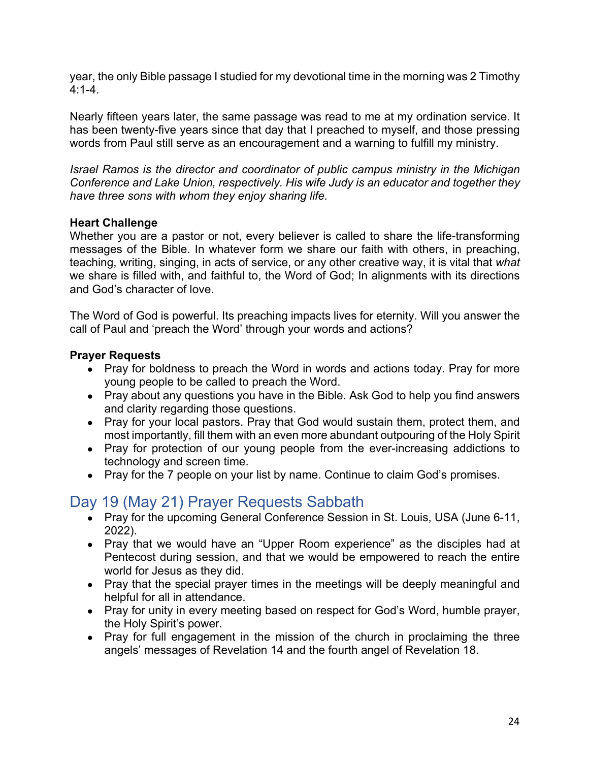year, the only Bible passage I studied for my devotional time in the morning was 2 Timothy 4:1-4.

Nearly fifteen years later, the same passage was read to me at my ordination service. It has been twenty-five years since that day that I preached to myself, and those pressing words from Paul still serve as an encouragement and a warning to fulfill my ministry.

*Israel Ramos is the director and coordinator of public campus ministry in the Michigan Conference and Lake Union, respectively. His wife Judy is an educator and together they have three sons with whom they enjoy sharing life.*

#### **Heart Challenge**

Whether you are a pastor or not, every believer is called to share the life-transforming messages of the Bible. In whatever form we share our faith with others, in preaching, teaching, writing, singing, in acts of service, or any other creative way, it is vital that *what* we share is filled with, and faithful to, the Word of God; In alignments with its directions and God's character of love.

The Word of God is powerful. Its preaching impacts lives for eternity. Will you answer the call of Paul and 'preach the Word' through your words and actions?

#### **Prayer Requests**

- Pray for boldness to preach the Word in words and actions today. Pray for more young people to be called to preach the Word.
- Pray about any questions you have in the Bible. Ask God to help you find answers and clarity regarding those questions.
- Pray for your local pastors. Pray that God would sustain them, protect them, and most importantly, fill them with an even more abundant outpouring of the Holy Spirit
- Pray for protection of our young people from the ever-increasing addictions to technology and screen time.
- Pray for the 7 people on your list by name. Continue to claim God's promises.

# Day 19 (May 21) Prayer Requests Sabbath

- Pray for the upcoming General Conference Session in St. Louis, USA (June 6-11, 2022).
- Pray that we would have an "Upper Room experience" as the disciples had at Pentecost during session, and that we would be empowered to reach the entire world for Jesus as they did.
- Pray that the special prayer times in the meetings will be deeply meaningful and helpful for all in attendance.
- Pray for unity in every meeting based on respect for God's Word, humble prayer, the Holy Spirit's power.
- Pray for full engagement in the mission of the church in proclaiming the three angels' messages of Revelation 14 and the fourth angel of Revelation 18.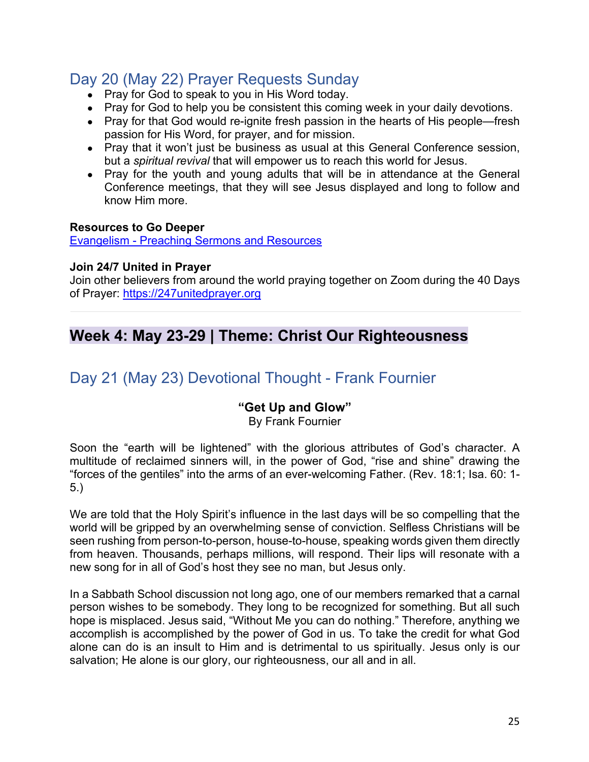# Day 20 (May 22) Prayer Requests Sunday

- Pray for God to speak to you in His Word today.
- Pray for God to help you be consistent this coming week in your daily devotions.
- Pray for that God would re-ignite fresh passion in the hearts of His people—fresh passion for His Word, for prayer, and for mission.
- Pray that it won't just be business as usual at this General Conference session, but a *spiritual revival* that will empower us to reach this world for Jesus.
- Pray for the youth and young adults that will be in attendance at the General Conference meetings, that they will see Jesus displayed and long to follow and know Him more.

#### **Resources to Go Deeper**

Evangelism - Preaching Sermons and Resources

#### **Join 24/7 United in Prayer**

Join other believers from around the world praying together on Zoom during the 40 Days of Prayer: https://247unitedprayer.org

# **Week 4: May 23-29 | Theme: Christ Our Righteousness**

# Day 21 (May 23) Devotional Thought - Frank Fournier

### **"Get Up and Glow"**

By Frank Fournier

Soon the "earth will be lightened" with the glorious attributes of God's character. A multitude of reclaimed sinners will, in the power of God, "rise and shine" drawing the "forces of the gentiles" into the arms of an ever-welcoming Father. (Rev. 18:1; Isa. 60: 1- 5.)

We are told that the Holy Spirit's influence in the last days will be so compelling that the world will be gripped by an overwhelming sense of conviction. Selfless Christians will be seen rushing from person-to-person, house-to-house, speaking words given them directly from heaven. Thousands, perhaps millions, will respond. Their lips will resonate with a new song for in all of God's host they see no man, but Jesus only.

In a Sabbath School discussion not long ago, one of our members remarked that a carnal person wishes to be somebody. They long to be recognized for something. But all such hope is misplaced. Jesus said, "Without Me you can do nothing." Therefore, anything we accomplish is accomplished by the power of God in us. To take the credit for what God alone can do is an insult to Him and is detrimental to us spiritually. Jesus only is our salvation; He alone is our glory, our righteousness, our all and in all.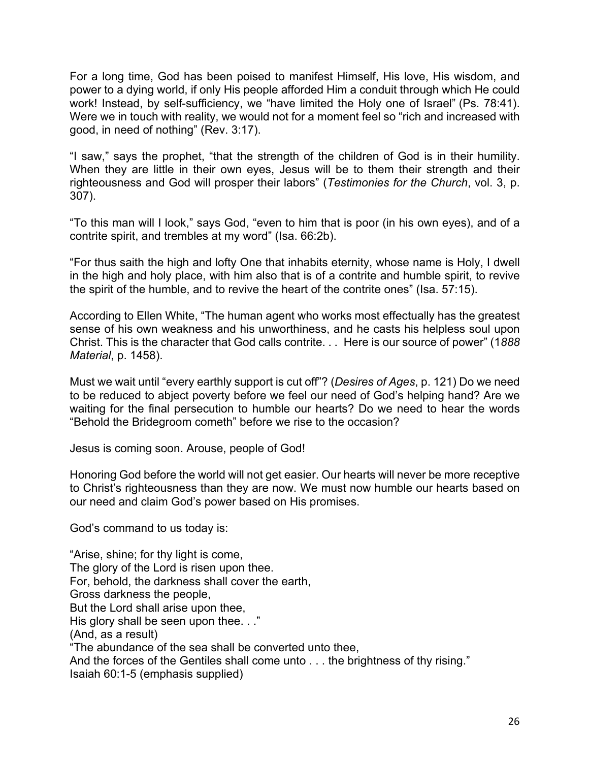For a long time, God has been poised to manifest Himself, His love, His wisdom, and power to a dying world, if only His people afforded Him a conduit through which He could work! Instead, by self-sufficiency, we "have limited the Holy one of Israel" (Ps. 78:41). Were we in touch with reality, we would not for a moment feel so "rich and increased with good, in need of nothing" (Rev. 3:17).

"I saw," says the prophet, "that the strength of the children of God is in their humility. When they are little in their own eyes, Jesus will be to them their strength and their righteousness and God will prosper their labors" (*Testimonies for the Church*, vol. 3, p. 307).

"To this man will I look," says God, "even to him that is poor (in his own eyes), and of a contrite spirit, and trembles at my word" (Isa. 66:2b).

"For thus saith the high and lofty One that inhabits eternity, whose name is Holy, I dwell in the high and holy place, with him also that is of a contrite and humble spirit, to revive the spirit of the humble, and to revive the heart of the contrite ones" (Isa. 57:15).

According to Ellen White, "The human agent who works most effectually has the greatest sense of his own weakness and his unworthiness, and he casts his helpless soul upon Christ. This is the character that God calls contrite. . . Here is our source of power" (1*888 Material*, p. 1458).

Must we wait until "every earthly support is cut off"? (*Desires of Ages*, p. 121) Do we need to be reduced to abject poverty before we feel our need of God's helping hand? Are we waiting for the final persecution to humble our hearts? Do we need to hear the words "Behold the Bridegroom cometh" before we rise to the occasion?

Jesus is coming soon. Arouse, people of God!

Honoring God before the world will not get easier. Our hearts will never be more receptive to Christ's righteousness than they are now. We must now humble our hearts based on our need and claim God's power based on His promises.

God's command to us today is:

"Arise, shine; for thy light is come, The glory of the Lord is risen upon thee. For, behold, the darkness shall cover the earth, Gross darkness the people, But the Lord shall arise upon thee, His glory shall be seen upon thee..." (And, as a result) "The abundance of the sea shall be converted unto thee, And the forces of the Gentiles shall come unto . . . the brightness of thy rising." Isaiah 60:1-5 (emphasis supplied)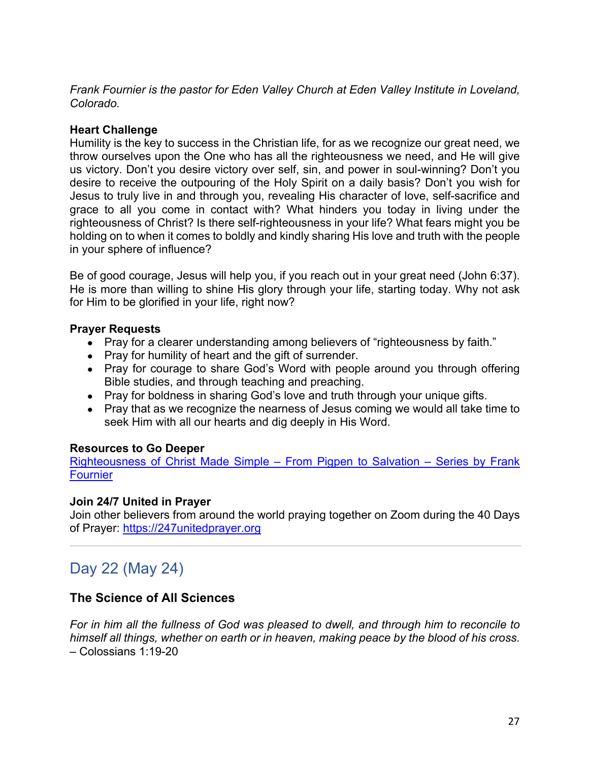*Frank Fournier is the pastor for Eden Valley Church at Eden Valley Institute in Loveland, Colorado.*

#### **Heart Challenge**

Humility is the key to success in the Christian life, for as we recognize our great need, we throw ourselves upon the One who has all the righteousness we need, and He will give us victory. Don't you desire victory over self, sin, and power in soul-winning? Don't you desire to receive the outpouring of the Holy Spirit on a daily basis? Don't you wish for Jesus to truly live in and through you, revealing His character of love, self-sacrifice and grace to all you come in contact with? What hinders you today in living under the righteousness of Christ? Is there self-righteousness in your life? What fears might you be holding on to when it comes to boldly and kindly sharing His love and truth with the people in your sphere of influence?

Be of good courage, Jesus will help you, if you reach out in your great need (John 6:37). He is more than willing to shine His glory through your life, starting today. Why not ask for Him to be glorified in your life, right now?

#### **Prayer Requests**

- Pray for a clearer understanding among believers of "righteousness by faith."
- Pray for humility of heart and the gift of surrender.
- Pray for courage to share God's Word with people around you through offering Bible studies, and through teaching and preaching.
- Pray for boldness in sharing God's love and truth through your unique gifts.
- Pray that as we recognize the nearness of Jesus coming we would all take time to seek Him with all our hearts and dig deeply in His Word.

#### **Resources to Go Deeper**

Righteousness of Christ Made Simple – From Pigpen to Salvation – Series by Frank **Fournier** 

#### **Join 24/7 United in Prayer**

Join other believers from around the world praying together on Zoom during the 40 Days of Prayer: https://247unitedprayer.org

# Day 22 (May 24)

### **The Science of All Sciences**

*For in him all the fullness of God was pleased to dwell, and through him to reconcile to himself all things, whether on earth or in heaven, making peace by the blood of his cross.* – Colossians 1:19-20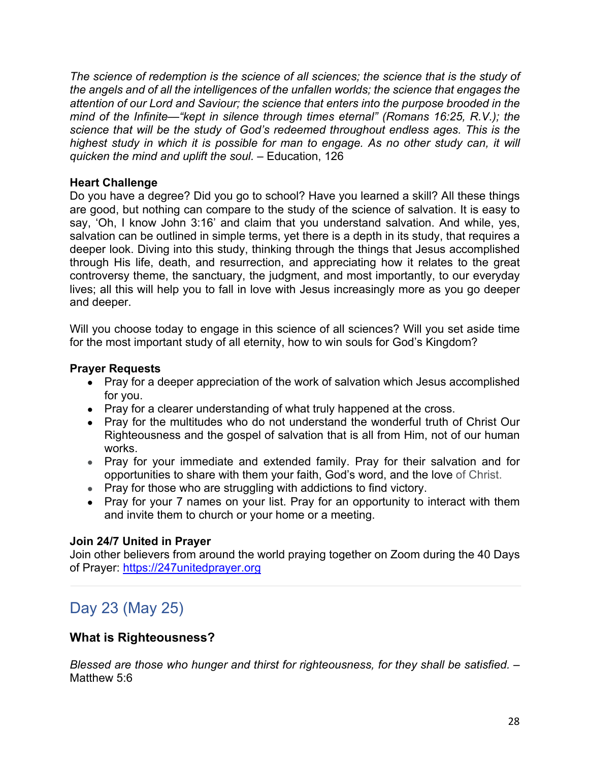*The science of redemption is the science of all sciences; the science that is the study of the angels and of all the intelligences of the unfallen worlds; the science that engages the attention of our Lord and Saviour; the science that enters into the purpose brooded in the mind of the Infinite—"kept in silence through times eternal" (Romans 16:25, R.V.); the science that will be the study of God's redeemed throughout endless ages. This is the highest study in which it is possible for man to engage. As no other study can, it will quicken the mind and uplift the soul.* – Education, 126

#### **Heart Challenge**

Do you have a degree? Did you go to school? Have you learned a skill? All these things are good, but nothing can compare to the study of the science of salvation. It is easy to say, 'Oh, I know John 3:16' and claim that you understand salvation. And while, yes, salvation can be outlined in simple terms, yet there is a depth in its study, that requires a deeper look. Diving into this study, thinking through the things that Jesus accomplished through His life, death, and resurrection, and appreciating how it relates to the great controversy theme, the sanctuary, the judgment, and most importantly, to our everyday lives; all this will help you to fall in love with Jesus increasingly more as you go deeper and deeper.

Will you choose today to engage in this science of all sciences? Will you set aside time for the most important study of all eternity, how to win souls for God's Kingdom?

#### **Prayer Requests**

- Pray for a deeper appreciation of the work of salvation which Jesus accomplished for you.
- Pray for a clearer understanding of what truly happened at the cross.
- Pray for the multitudes who do not understand the wonderful truth of Christ Our Righteousness and the gospel of salvation that is all from Him, not of our human works.
- Pray for your immediate and extended family. Pray for their salvation and for opportunities to share with them your faith, God's word, and the love of Christ.
- Pray for those who are struggling with addictions to find victory.
- Pray for your 7 names on your list. Pray for an opportunity to interact with them and invite them to church or your home or a meeting.

### **Join 24/7 United in Prayer**

Join other believers from around the world praying together on Zoom during the 40 Days of Prayer: https://247unitedprayer.org

# Day 23 (May 25)

### **What is Righteousness?**

*Blessed are those who hunger and thirst for righteousness, for they shall be satisfied.* – Matthew 5:6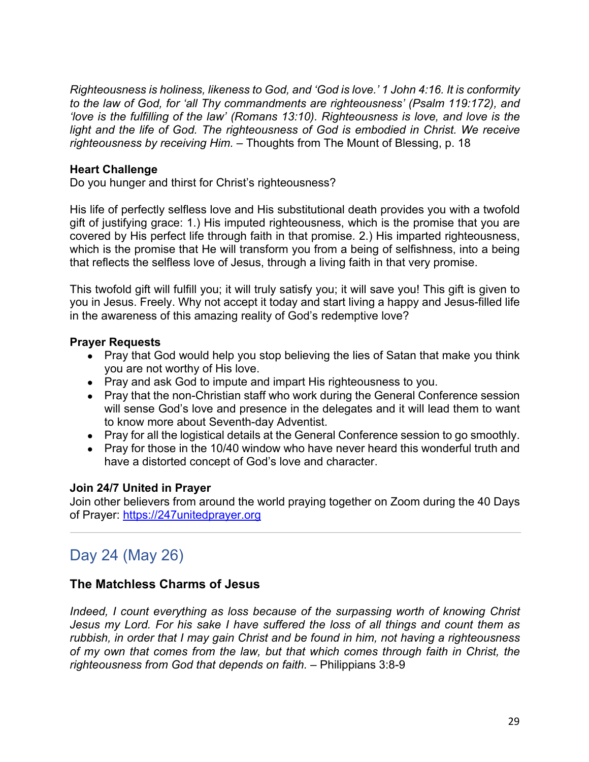*Righteousness is holiness, likeness to God, and 'God is love.' 1 John 4:16. It is conformity to the law of God, for 'all Thy commandments are righteousness' (Psalm 119:172), and 'love is the fulfilling of the law' (Romans 13:10). Righteousness is love, and love is the*  light and the life of God. The righteousness of God is embodied in Christ. We receive *righteousness by receiving Him.* – Thoughts from The Mount of Blessing, p. 18

#### **Heart Challenge**

Do you hunger and thirst for Christ's righteousness?

His life of perfectly selfless love and His substitutional death provides you with a twofold gift of justifying grace: 1.) His imputed righteousness, which is the promise that you are covered by His perfect life through faith in that promise. 2.) His imparted righteousness, which is the promise that He will transform you from a being of selfishness, into a being that reflects the selfless love of Jesus, through a living faith in that very promise.

This twofold gift will fulfill you; it will truly satisfy you; it will save you! This gift is given to you in Jesus. Freely. Why not accept it today and start living a happy and Jesus-filled life in the awareness of this amazing reality of God's redemptive love?

#### **Prayer Requests**

- Pray that God would help you stop believing the lies of Satan that make you think you are not worthy of His love.
- Pray and ask God to impute and impart His righteousness to you.
- Pray that the non-Christian staff who work during the General Conference session will sense God's love and presence in the delegates and it will lead them to want to know more about Seventh-day Adventist.
- Pray for all the logistical details at the General Conference session to go smoothly.
- Pray for those in the 10/40 window who have never heard this wonderful truth and have a distorted concept of God's love and character.

#### **Join 24/7 United in Prayer**

Join other believers from around the world praying together on Zoom during the 40 Days of Prayer: https://247unitedprayer.org

# Day 24 (May 26)

### **The Matchless Charms of Jesus**

*Indeed, I count everything as loss because of the surpassing worth of knowing Christ Jesus my Lord. For his sake I have suffered the loss of all things and count them as rubbish, in order that I may gain Christ and be found in him, not having a righteousness of my own that comes from the law, but that which comes through faith in Christ, the righteousness from God that depends on faith.* – Philippians 3:8-9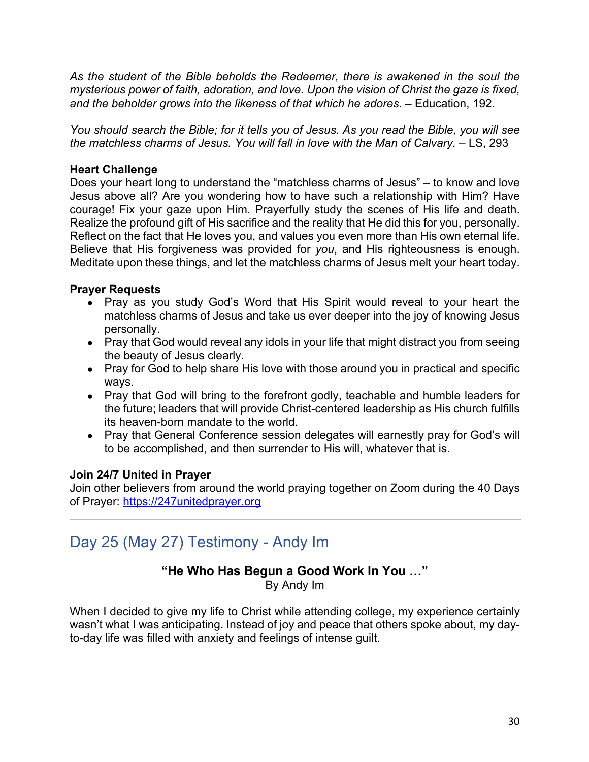*As the student of the Bible beholds the Redeemer, there is awakened in the soul the mysterious power of faith, adoration, and love. Upon the vision of Christ the gaze is fixed,*  and the beholder grows into the likeness of that which he adores.  $-$  Education, 192.

*You should search the Bible; for it tells you of Jesus. As you read the Bible, you will see the matchless charms of Jesus. You will fall in love with the Man of Calvary.* – LS, 293

### **Heart Challenge**

Does your heart long to understand the "matchless charms of Jesus" – to know and love Jesus above all? Are you wondering how to have such a relationship with Him? Have courage! Fix your gaze upon Him. Prayerfully study the scenes of His life and death. Realize the profound gift of His sacrifice and the reality that He did this for you, personally. Reflect on the fact that He loves you, and values you even more than His own eternal life. Believe that His forgiveness was provided for *you*, and His righteousness is enough. Meditate upon these things, and let the matchless charms of Jesus melt your heart today.

### **Prayer Requests**

- Pray as you study God's Word that His Spirit would reveal to your heart the matchless charms of Jesus and take us ever deeper into the joy of knowing Jesus personally.
- Pray that God would reveal any idols in your life that might distract you from seeing the beauty of Jesus clearly.
- Pray for God to help share His love with those around you in practical and specific ways.
- Pray that God will bring to the forefront godly, teachable and humble leaders for the future; leaders that will provide Christ-centered leadership as His church fulfills its heaven-born mandate to the world.
- Pray that General Conference session delegates will earnestly pray for God's will to be accomplished, and then surrender to His will, whatever that is.

### **Join 24/7 United in Prayer**

Join other believers from around the world praying together on Zoom during the 40 Days of Prayer: https://247unitedprayer.org

# Day 25 (May 27) Testimony - Andy Im

#### **"He Who Has Begun a Good Work In You …"** By Andy Im

When I decided to give my life to Christ while attending college, my experience certainly wasn't what I was anticipating. Instead of joy and peace that others spoke about, my dayto-day life was filled with anxiety and feelings of intense guilt.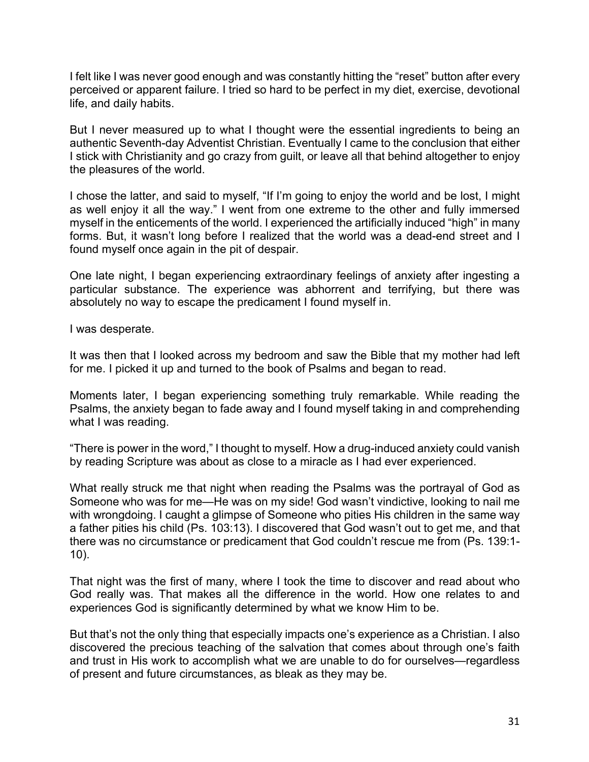I felt like I was never good enough and was constantly hitting the "reset" button after every perceived or apparent failure. I tried so hard to be perfect in my diet, exercise, devotional life, and daily habits.

But I never measured up to what I thought were the essential ingredients to being an authentic Seventh-day Adventist Christian. Eventually I came to the conclusion that either I stick with Christianity and go crazy from guilt, or leave all that behind altogether to enjoy the pleasures of the world.

I chose the latter, and said to myself, "If I'm going to enjoy the world and be lost, I might as well enjoy it all the way." I went from one extreme to the other and fully immersed myself in the enticements of the world. I experienced the artificially induced "high" in many forms. But, it wasn't long before I realized that the world was a dead-end street and I found myself once again in the pit of despair.

One late night, I began experiencing extraordinary feelings of anxiety after ingesting a particular substance. The experience was abhorrent and terrifying, but there was absolutely no way to escape the predicament I found myself in.

I was desperate.

It was then that I looked across my bedroom and saw the Bible that my mother had left for me. I picked it up and turned to the book of Psalms and began to read.

Moments later, I began experiencing something truly remarkable. While reading the Psalms, the anxiety began to fade away and I found myself taking in and comprehending what I was reading.

"There is power in the word," I thought to myself. How a drug-induced anxiety could vanish by reading Scripture was about as close to a miracle as I had ever experienced.

What really struck me that night when reading the Psalms was the portrayal of God as Someone who was for me—He was on my side! God wasn't vindictive, looking to nail me with wrongdoing. I caught a glimpse of Someone who pities His children in the same way a father pities his child (Ps. 103:13). I discovered that God wasn't out to get me, and that there was no circumstance or predicament that God couldn't rescue me from (Ps. 139:1- 10).

That night was the first of many, where I took the time to discover and read about who God really was. That makes all the difference in the world. How one relates to and experiences God is significantly determined by what we know Him to be.

But that's not the only thing that especially impacts one's experience as a Christian. I also discovered the precious teaching of the salvation that comes about through one's faith and trust in His work to accomplish what we are unable to do for ourselves—regardless of present and future circumstances, as bleak as they may be.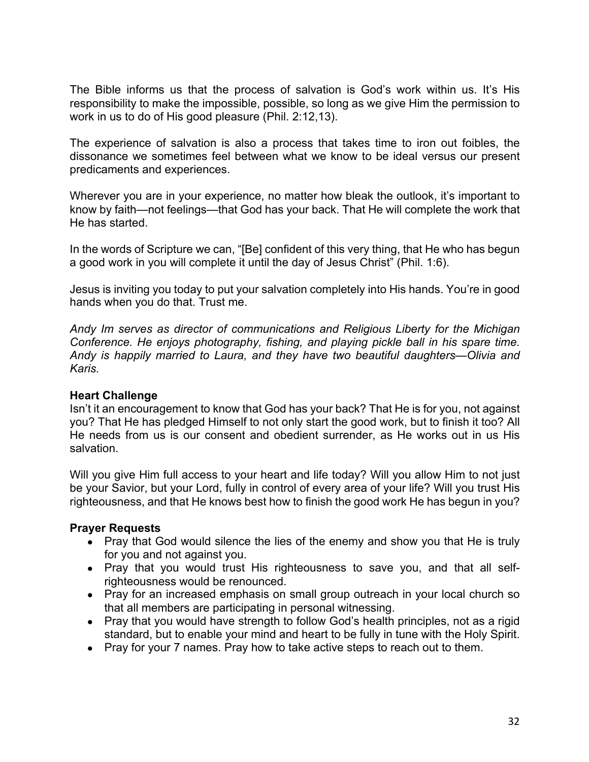The Bible informs us that the process of salvation is God's work within us. It's His responsibility to make the impossible, possible, so long as we give Him the permission to work in us to do of His good pleasure (Phil. 2:12,13).

The experience of salvation is also a process that takes time to iron out foibles, the dissonance we sometimes feel between what we know to be ideal versus our present predicaments and experiences.

Wherever you are in your experience, no matter how bleak the outlook, it's important to know by faith—not feelings—that God has your back. That He will complete the work that He has started.

In the words of Scripture we can, "[Be] confident of this very thing, that He who has begun a good work in you will complete it until the day of Jesus Christ" (Phil. 1:6).

Jesus is inviting you today to put your salvation completely into His hands. You're in good hands when you do that. Trust me.

*Andy Im serves as director of communications and Religious Liberty for the Michigan Conference. He enjoys photography, fishing, and playing pickle ball in his spare time. Andy is happily married to Laura, and they have two beautiful daughters—Olivia and Karis.*

### **Heart Challenge**

Isn't it an encouragement to know that God has your back? That He is for you, not against you? That He has pledged Himself to not only start the good work, but to finish it too? All He needs from us is our consent and obedient surrender, as He works out in us His salvation.

Will you give Him full access to your heart and life today? Will you allow Him to not just be your Savior, but your Lord, fully in control of every area of your life? Will you trust His righteousness, and that He knows best how to finish the good work He has begun in you?

- Pray that God would silence the lies of the enemy and show you that He is truly for you and not against you.
- Pray that you would trust His righteousness to save you, and that all selfrighteousness would be renounced.
- Pray for an increased emphasis on small group outreach in your local church so that all members are participating in personal witnessing.
- Pray that you would have strength to follow God's health principles, not as a rigid standard, but to enable your mind and heart to be fully in tune with the Holy Spirit.
- Pray for your 7 names. Pray how to take active steps to reach out to them.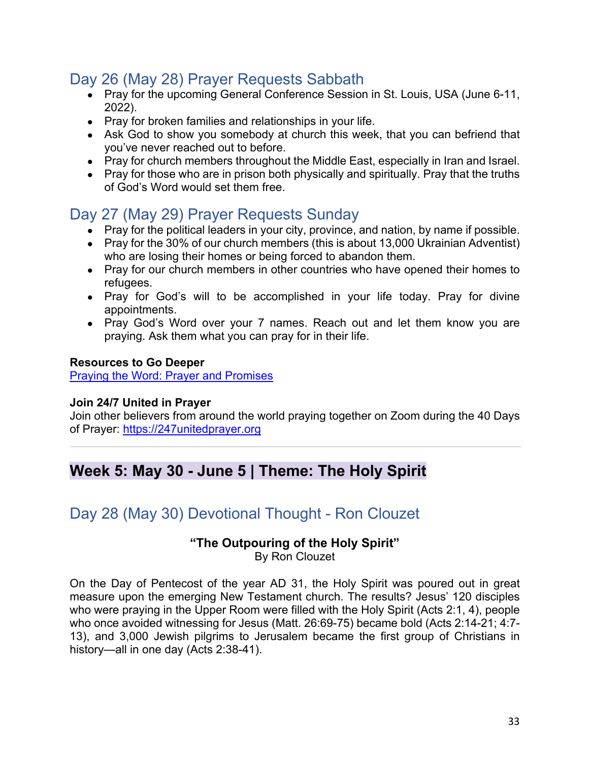# Day 26 (May 28) Prayer Requests Sabbath

- Pray for the upcoming General Conference Session in St. Louis, USA (June 6-11, 2022).
- Pray for broken families and relationships in your life.
- Ask God to show you somebody at church this week, that you can befriend that you've never reached out to before.
- Pray for church members throughout the Middle East, especially in Iran and Israel.
- Pray for those who are in prison both physically and spiritually. Pray that the truths of God's Word would set them free.

# Day 27 (May 29) Prayer Requests Sunday

- Pray for the political leaders in your city, province, and nation, by name if possible.
- Pray for the 30% of our church members (this is about 13,000 Ukrainian Adventist) who are losing their homes or being forced to abandon them.
- Pray for our church members in other countries who have opened their homes to refugees.
- Pray for God's will to be accomplished in your life today. Pray for divine appointments.
- Pray God's Word over your 7 names. Reach out and let them know you are praying. Ask them what you can pray for in their life.

#### **Resources to Go Deeper**

Praying the Word: Prayer and Promises

#### **Join 24/7 United in Prayer**

Join other believers from around the world praying together on Zoom during the 40 Days of Prayer: https://247unitedprayer.org

# **Week 5: May 30 - June 5 | Theme: The Holy Spirit**

# Day 28 (May 30) Devotional Thought - Ron Clouzet

# **"The Outpouring of the Holy Spirit"**

By Ron Clouzet

On the Day of Pentecost of the year AD 31, the Holy Spirit was poured out in great measure upon the emerging New Testament church. The results? Jesus' 120 disciples who were praying in the Upper Room were filled with the Holy Spirit (Acts 2:1, 4), people who once avoided witnessing for Jesus (Matt. 26:69-75) became bold (Acts 2:14-21; 4:7- 13), and 3,000 Jewish pilgrims to Jerusalem became the first group of Christians in history—all in one day (Acts 2:38-41).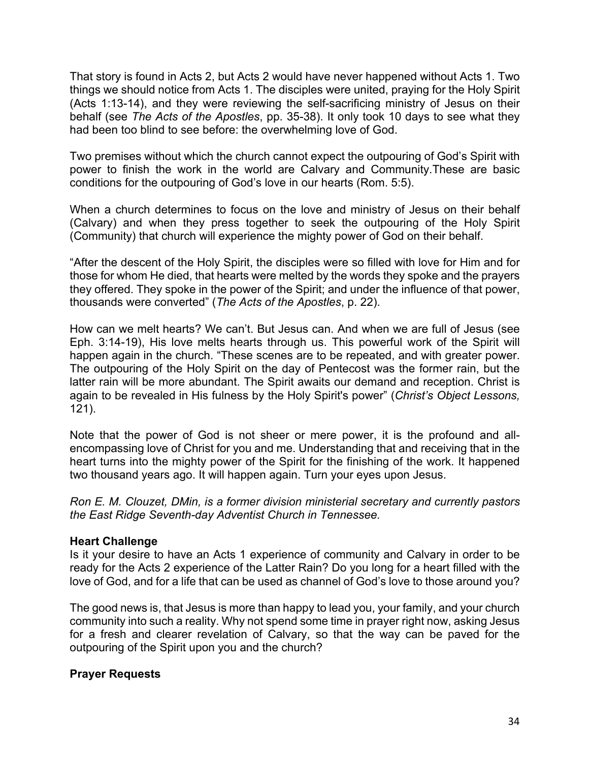That story is found in Acts 2, but Acts 2 would have never happened without Acts 1. Two things we should notice from Acts 1. The disciples were united, praying for the Holy Spirit (Acts 1:13-14), and they were reviewing the self-sacrificing ministry of Jesus on their behalf (see *The Acts of the Apostles*, pp. 35-38). It only took 10 days to see what they had been too blind to see before: the overwhelming love of God.

Two premises without which the church cannot expect the outpouring of God's Spirit with power to finish the work in the world are Calvary and Community.These are basic conditions for the outpouring of God's love in our hearts (Rom. 5:5).

When a church determines to focus on the love and ministry of Jesus on their behalf (Calvary) and when they press together to seek the outpouring of the Holy Spirit (Community) that church will experience the mighty power of God on their behalf.

"After the descent of the Holy Spirit, the disciples were so filled with love for Him and for those for whom He died, that hearts were melted by the words they spoke and the prayers they offered. They spoke in the power of the Spirit; and under the influence of that power, thousands were converted" (*The Acts of the Apostles*, p. 22).

How can we melt hearts? We can't. But Jesus can. And when we are full of Jesus (see Eph. 3:14-19), His love melts hearts through us. This powerful work of the Spirit will happen again in the church. "These scenes are to be repeated, and with greater power. The outpouring of the Holy Spirit on the day of Pentecost was the former rain, but the latter rain will be more abundant. The Spirit awaits our demand and reception. Christ is again to be revealed in His fulness by the Holy Spirit's power" (*Christ's Object Lessons,* 121).

Note that the power of God is not sheer or mere power, it is the profound and allencompassing love of Christ for you and me. Understanding that and receiving that in the heart turns into the mighty power of the Spirit for the finishing of the work. It happened two thousand years ago. It will happen again. Turn your eyes upon Jesus.

*Ron E. M. Clouzet, DMin, is a former division ministerial secretary and currently pastors the East Ridge Seventh-day Adventist Church in Tennessee.*

#### **Heart Challenge**

Is it your desire to have an Acts 1 experience of community and Calvary in order to be ready for the Acts 2 experience of the Latter Rain? Do you long for a heart filled with the love of God, and for a life that can be used as channel of God's love to those around you?

The good news is, that Jesus is more than happy to lead you, your family, and your church community into such a reality. Why not spend some time in prayer right now, asking Jesus for a fresh and clearer revelation of Calvary, so that the way can be paved for the outpouring of the Spirit upon you and the church?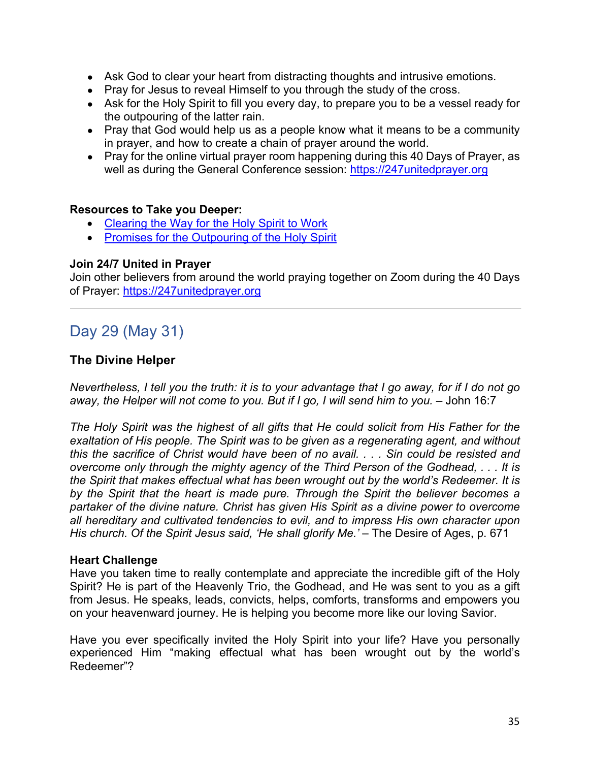- Ask God to clear your heart from distracting thoughts and intrusive emotions.
- Pray for Jesus to reveal Himself to you through the study of the cross.
- Ask for the Holy Spirit to fill you every day, to prepare you to be a vessel ready for the outpouring of the latter rain.
- Pray that God would help us as a people know what it means to be a community in prayer, and how to create a chain of prayer around the world.
- Pray for the online virtual prayer room happening during this 40 Days of Prayer, as well as during the General Conference session: https://247unitedprayer.org

#### **Resources to Take you Deeper:**

- Clearing the Way for the Holy Spirit to Work
- Promises for the Outpouring of the Holy Spirit

#### **Join 24/7 United in Prayer**

Join other believers from around the world praying together on Zoom during the 40 Days of Prayer: https://247unitedprayer.org

# Day 29 (May 31)

#### **The Divine Helper**

*Nevertheless, I tell you the truth: it is to your advantage that I go away, for if I do not go away, the Helper will not come to you. But if I go, I will send him to you.* – John 16:7

*The Holy Spirit was the highest of all gifts that He could solicit from His Father for the exaltation of His people. The Spirit was to be given as a regenerating agent, and without this the sacrifice of Christ would have been of no avail. . . . Sin could be resisted and overcome only through the mighty agency of the Third Person of the Godhead, . . . It is the Spirit that makes effectual what has been wrought out by the world's Redeemer. It is by the Spirit that the heart is made pure. Through the Spirit the believer becomes a partaker of the divine nature. Christ has given His Spirit as a divine power to overcome all hereditary and cultivated tendencies to evil, and to impress His own character upon His church. Of the Spirit Jesus said, 'He shall glorify Me.'* – The Desire of Ages, p. 671

#### **Heart Challenge**

Have you taken time to really contemplate and appreciate the incredible gift of the Holy Spirit? He is part of the Heavenly Trio, the Godhead, and He was sent to you as a gift from Jesus. He speaks, leads, convicts, helps, comforts, transforms and empowers you on your heavenward journey. He is helping you become more like our loving Savior.

Have you ever specifically invited the Holy Spirit into your life? Have you personally experienced Him "making effectual what has been wrought out by the world's Redeemer"?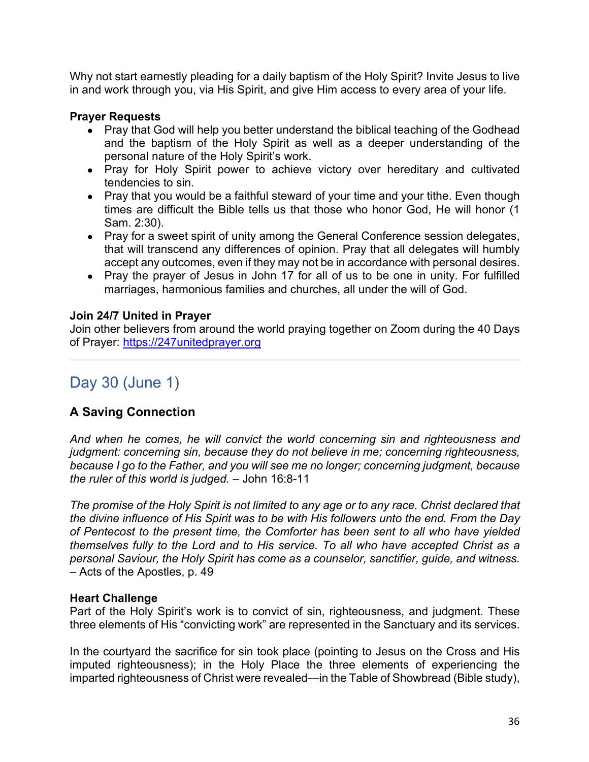Why not start earnestly pleading for a daily baptism of the Holy Spirit? Invite Jesus to live in and work through you, via His Spirit, and give Him access to every area of your life.

#### **Prayer Requests**

- Pray that God will help you better understand the biblical teaching of the Godhead and the baptism of the Holy Spirit as well as a deeper understanding of the personal nature of the Holy Spirit's work.
- Pray for Holy Spirit power to achieve victory over hereditary and cultivated tendencies to sin.
- Pray that you would be a faithful steward of your time and your tithe. Even though times are difficult the Bible tells us that those who honor God, He will honor (1 Sam. 2:30).
- Pray for a sweet spirit of unity among the General Conference session delegates, that will transcend any differences of opinion. Pray that all delegates will humbly accept any outcomes, even if they may not be in accordance with personal desires.
- Pray the prayer of Jesus in John 17 for all of us to be one in unity. For fulfilled marriages, harmonious families and churches, all under the will of God.

#### **Join 24/7 United in Prayer**

Join other believers from around the world praying together on Zoom during the 40 Days of Prayer: https://247unitedprayer.org

# Day 30 (June 1)

# **A Saving Connection**

*And when he comes, he will convict the world concerning sin and righteousness and judgment: concerning sin, because they do not believe in me; concerning righteousness, because I go to the Father, and you will see me no longer; concerning judgment, because the ruler of this world is judged.* – John 16:8-11

*The promise of the Holy Spirit is not limited to any age or to any race. Christ declared that the divine influence of His Spirit was to be with His followers unto the end. From the Day of Pentecost to the present time, the Comforter has been sent to all who have yielded themselves fully to the Lord and to His service. To all who have accepted Christ as a personal Saviour, the Holy Spirit has come as a counselor, sanctifier, guide, and witness.* – Acts of the Apostles, p. 49

#### **Heart Challenge**

Part of the Holy Spirit's work is to convict of sin, righteousness, and judgment. These three elements of His "convicting work" are represented in the Sanctuary and its services.

In the courtyard the sacrifice for sin took place (pointing to Jesus on the Cross and His imputed righteousness); in the Holy Place the three elements of experiencing the imparted righteousness of Christ were revealed—in the Table of Showbread (Bible study),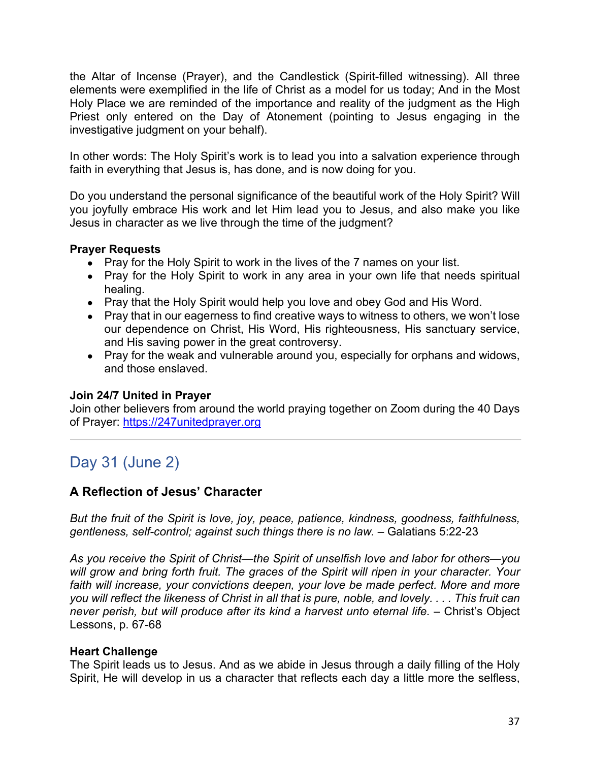the Altar of Incense (Prayer), and the Candlestick (Spirit-filled witnessing). All three elements were exemplified in the life of Christ as a model for us today; And in the Most Holy Place we are reminded of the importance and reality of the judgment as the High Priest only entered on the Day of Atonement (pointing to Jesus engaging in the investigative judgment on your behalf).

In other words: The Holy Spirit's work is to lead you into a salvation experience through faith in everything that Jesus is, has done, and is now doing for you.

Do you understand the personal significance of the beautiful work of the Holy Spirit? Will you joyfully embrace His work and let Him lead you to Jesus, and also make you like Jesus in character as we live through the time of the judgment?

### **Prayer Requests**

- Pray for the Holy Spirit to work in the lives of the 7 names on your list.
- Pray for the Holy Spirit to work in any area in your own life that needs spiritual healing.
- Pray that the Holy Spirit would help you love and obey God and His Word.
- Pray that in our eagerness to find creative ways to witness to others, we won't lose our dependence on Christ, His Word, His righteousness, His sanctuary service, and His saving power in the great controversy.
- Pray for the weak and vulnerable around you, especially for orphans and widows, and those enslaved.

### **Join 24/7 United in Prayer**

Join other believers from around the world praying together on Zoom during the 40 Days of Prayer: https://247unitedprayer.org

# Day 31 (June 2)

### **A Reflection of Jesus' Character**

*But the fruit of the Spirit is love, joy, peace, patience, kindness, goodness, faithfulness, gentleness, self-control; against such things there is no law.* – Galatians 5:22-23

*As you receive the Spirit of Christ—the Spirit of unselfish love and labor for others—you will grow and bring forth fruit. The graces of the Spirit will ripen in your character. Your faith will increase, your convictions deepen, your love be made perfect. More and more you will reflect the likeness of Christ in all that is pure, noble, and lovely. . . . This fruit can never perish, but will produce after its kind a harvest unto eternal life.* – Christ's Object Lessons, p. 67-68

### **Heart Challenge**

The Spirit leads us to Jesus. And as we abide in Jesus through a daily filling of the Holy Spirit, He will develop in us a character that reflects each day a little more the selfless,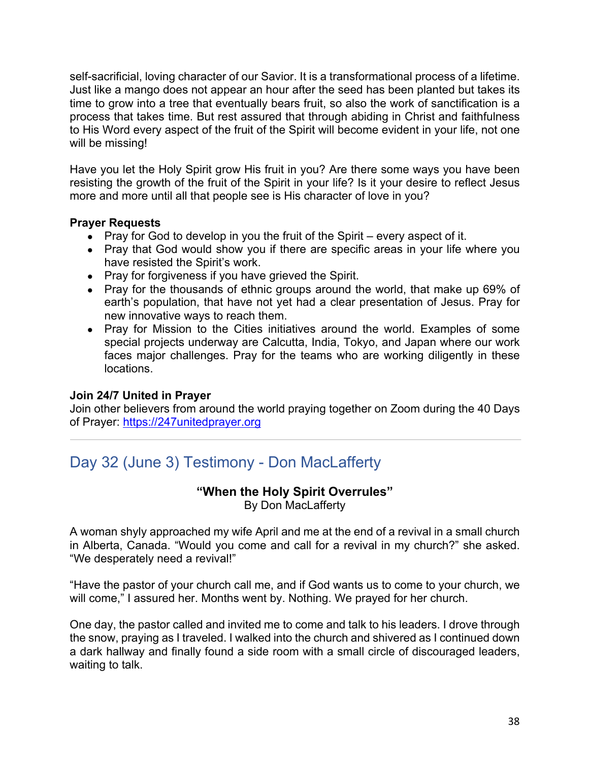self-sacrificial, loving character of our Savior. It is a transformational process of a lifetime. Just like a mango does not appear an hour after the seed has been planted but takes its time to grow into a tree that eventually bears fruit, so also the work of sanctification is a process that takes time. But rest assured that through abiding in Christ and faithfulness to His Word every aspect of the fruit of the Spirit will become evident in your life, not one will be missing!

Have you let the Holy Spirit grow His fruit in you? Are there some ways you have been resisting the growth of the fruit of the Spirit in your life? Is it your desire to reflect Jesus more and more until all that people see is His character of love in you?

#### **Prayer Requests**

- Pray for God to develop in you the fruit of the Spirit every aspect of it.
- Pray that God would show you if there are specific areas in your life where you have resisted the Spirit's work.
- Pray for forgiveness if you have grieved the Spirit.
- Pray for the thousands of ethnic groups around the world, that make up 69% of earth's population, that have not yet had a clear presentation of Jesus. Pray for new innovative ways to reach them.
- Pray for Mission to the Cities initiatives around the world. Examples of some special projects underway are Calcutta, India, Tokyo, and Japan where our work faces major challenges. Pray for the teams who are working diligently in these locations.

### **Join 24/7 United in Prayer**

Join other believers from around the world praying together on Zoom during the 40 Days of Prayer: https://247unitedprayer.org

# Day 32 (June 3) Testimony - Don MacLafferty

### **"When the Holy Spirit Overrules"**

By Don MacLafferty

A woman shyly approached my wife April and me at the end of a revival in a small church in Alberta, Canada. "Would you come and call for a revival in my church?" she asked. "We desperately need a revival!"

"Have the pastor of your church call me, and if God wants us to come to your church, we will come," I assured her. Months went by. Nothing. We prayed for her church.

One day, the pastor called and invited me to come and talk to his leaders. I drove through the snow, praying as I traveled. I walked into the church and shivered as I continued down a dark hallway and finally found a side room with a small circle of discouraged leaders, waiting to talk.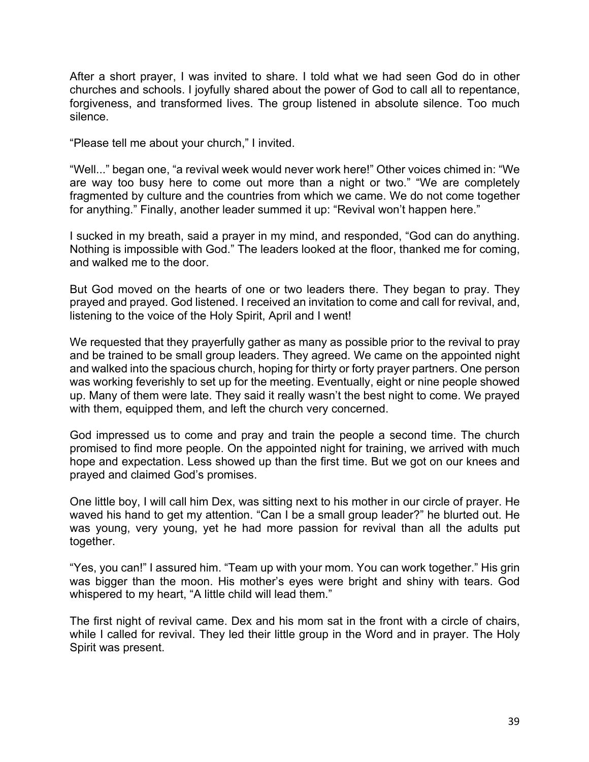After a short prayer, I was invited to share. I told what we had seen God do in other churches and schools. I joyfully shared about the power of God to call all to repentance, forgiveness, and transformed lives. The group listened in absolute silence. Too much silence.

"Please tell me about your church," I invited.

"Well..." began one, "a revival week would never work here!" Other voices chimed in: "We are way too busy here to come out more than a night or two." "We are completely fragmented by culture and the countries from which we came. We do not come together for anything." Finally, another leader summed it up: "Revival won't happen here."

I sucked in my breath, said a prayer in my mind, and responded, "God can do anything. Nothing is impossible with God." The leaders looked at the floor, thanked me for coming, and walked me to the door.

But God moved on the hearts of one or two leaders there. They began to pray. They prayed and prayed. God listened. I received an invitation to come and call for revival, and, listening to the voice of the Holy Spirit, April and I went!

We requested that they prayerfully gather as many as possible prior to the revival to pray and be trained to be small group leaders. They agreed. We came on the appointed night and walked into the spacious church, hoping for thirty or forty prayer partners. One person was working feverishly to set up for the meeting. Eventually, eight or nine people showed up. Many of them were late. They said it really wasn't the best night to come. We prayed with them, equipped them, and left the church very concerned.

God impressed us to come and pray and train the people a second time. The church promised to find more people. On the appointed night for training, we arrived with much hope and expectation. Less showed up than the first time. But we got on our knees and prayed and claimed God's promises.

One little boy, I will call him Dex, was sitting next to his mother in our circle of prayer. He waved his hand to get my attention. "Can I be a small group leader?" he blurted out. He was young, very young, yet he had more passion for revival than all the adults put together.

"Yes, you can!" I assured him. "Team up with your mom. You can work together." His grin was bigger than the moon. His mother's eyes were bright and shiny with tears. God whispered to my heart, "A little child will lead them."

The first night of revival came. Dex and his mom sat in the front with a circle of chairs, while I called for revival. They led their little group in the Word and in prayer. The Holy Spirit was present.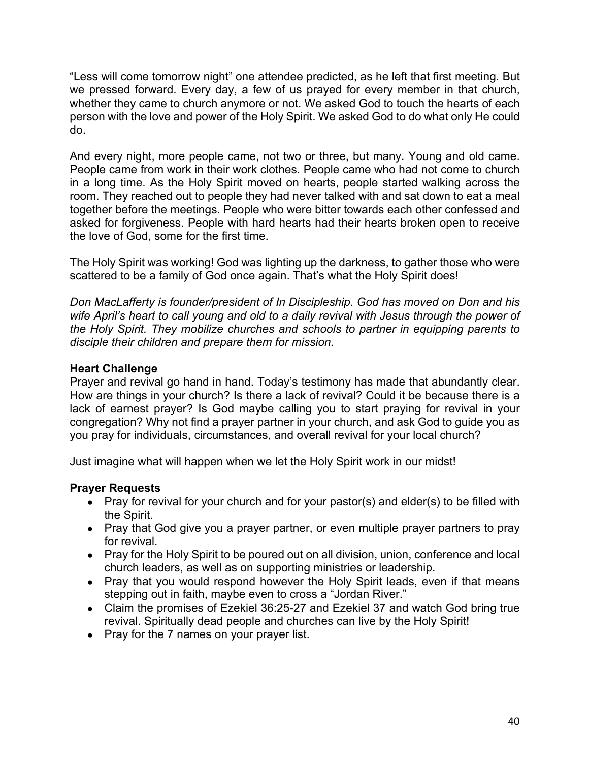"Less will come tomorrow night" one attendee predicted, as he left that first meeting. But we pressed forward. Every day, a few of us prayed for every member in that church, whether they came to church anymore or not. We asked God to touch the hearts of each person with the love and power of the Holy Spirit. We asked God to do what only He could do.

And every night, more people came, not two or three, but many. Young and old came. People came from work in their work clothes. People came who had not come to church in a long time. As the Holy Spirit moved on hearts, people started walking across the room. They reached out to people they had never talked with and sat down to eat a meal together before the meetings. People who were bitter towards each other confessed and asked for forgiveness. People with hard hearts had their hearts broken open to receive the love of God, some for the first time.

The Holy Spirit was working! God was lighting up the darkness, to gather those who were scattered to be a family of God once again. That's what the Holy Spirit does!

*Don MacLafferty is founder/president of In Discipleship. God has moved on Don and his wife April's heart to call young and old to a daily revival with Jesus through the power of the Holy Spirit. They mobilize churches and schools to partner in equipping parents to disciple their children and prepare them for mission.*

### **Heart Challenge**

Prayer and revival go hand in hand. Today's testimony has made that abundantly clear. How are things in your church? Is there a lack of revival? Could it be because there is a lack of earnest prayer? Is God maybe calling you to start praying for revival in your congregation? Why not find a prayer partner in your church, and ask God to guide you as you pray for individuals, circumstances, and overall revival for your local church?

Just imagine what will happen when we let the Holy Spirit work in our midst!

- Pray for revival for your church and for your pastor(s) and elder(s) to be filled with the Spirit.
- Pray that God give you a prayer partner, or even multiple prayer partners to pray for revival.
- Pray for the Holy Spirit to be poured out on all division, union, conference and local church leaders, as well as on supporting ministries or leadership.
- Pray that you would respond however the Holy Spirit leads, even if that means stepping out in faith, maybe even to cross a "Jordan River."
- Claim the promises of Ezekiel 36:25-27 and Ezekiel 37 and watch God bring true revival. Spiritually dead people and churches can live by the Holy Spirit!
- Pray for the 7 names on your prayer list.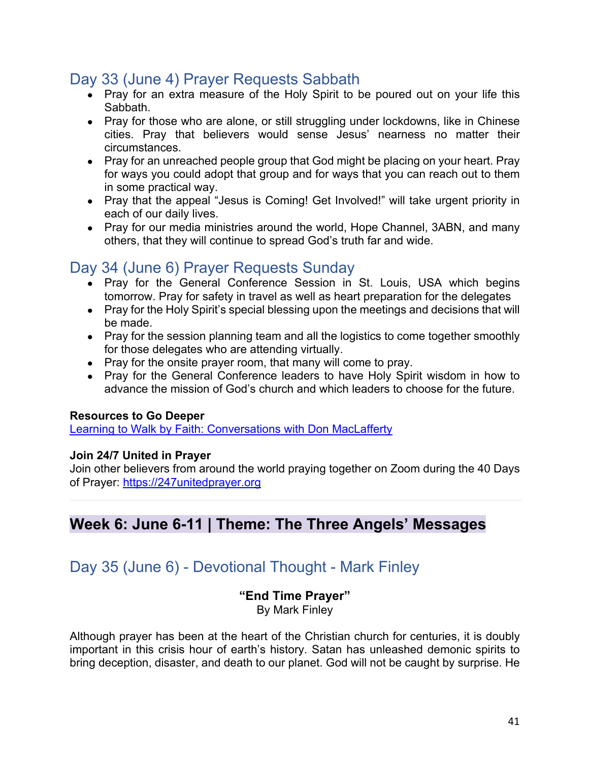# Day 33 (June 4) Prayer Requests Sabbath

- $\bullet$  Pray for an extra measure of the Holy Spirit to be poured out on your life this Sabbath.
- Pray for those who are alone, or still struggling under lockdowns, like in Chinese cities. Pray that believers would sense Jesus' nearness no matter their circumstances.
- Pray for an unreached people group that God might be placing on your heart. Pray for ways you could adopt that group and for ways that you can reach out to them in some practical way.
- Pray that the appeal "Jesus is Coming! Get Involved!" will take urgent priority in each of our daily lives.
- Pray for our media ministries around the world, Hope Channel, 3ABN, and many others, that they will continue to spread God's truth far and wide.

# Day 34 (June 6) Prayer Requests Sunday

- Pray for the General Conference Session in St. Louis, USA which begins tomorrow. Pray for safety in travel as well as heart preparation for the delegates
- Pray for the Holy Spirit's special blessing upon the meetings and decisions that will be made.
- Pray for the session planning team and all the logistics to come together smoothly for those delegates who are attending virtually.
- Pray for the onsite prayer room, that many will come to pray.
- Pray for the General Conference leaders to have Holy Spirit wisdom in how to advance the mission of God's church and which leaders to choose for the future.

### **Resources to Go Deeper**

Learning to Walk by Faith: Conversations with Don MacLafferty

### **Join 24/7 United in Prayer**

Join other believers from around the world praying together on Zoom during the 40 Days of Prayer: https://247unitedprayer.org

# **Week 6: June 6-11 | Theme: The Three Angels' Messages**

# Day 35 (June 6) - Devotional Thought - Mark Finley

# **"End Time Prayer"**

By Mark Finley

Although prayer has been at the heart of the Christian church for centuries, it is doubly important in this crisis hour of earth's history. Satan has unleashed demonic spirits to bring deception, disaster, and death to our planet. God will not be caught by surprise. He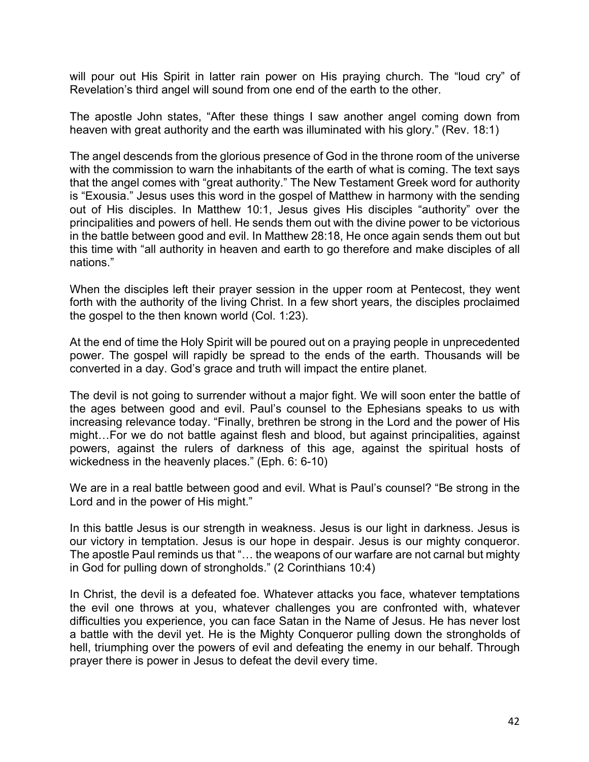will pour out His Spirit in latter rain power on His praying church. The "loud cry" of Revelation's third angel will sound from one end of the earth to the other.

The apostle John states, "After these things I saw another angel coming down from heaven with great authority and the earth was illuminated with his glory." (Rev. 18:1)

The angel descends from the glorious presence of God in the throne room of the universe with the commission to warn the inhabitants of the earth of what is coming. The text says that the angel comes with "great authority." The New Testament Greek word for authority is "Exousia." Jesus uses this word in the gospel of Matthew in harmony with the sending out of His disciples. In Matthew 10:1, Jesus gives His disciples "authority" over the principalities and powers of hell. He sends them out with the divine power to be victorious in the battle between good and evil. In Matthew 28:18, He once again sends them out but this time with "all authority in heaven and earth to go therefore and make disciples of all nations."

When the disciples left their prayer session in the upper room at Pentecost, they went forth with the authority of the living Christ. In a few short years, the disciples proclaimed the gospel to the then known world (Col. 1:23).

At the end of time the Holy Spirit will be poured out on a praying people in unprecedented power. The gospel will rapidly be spread to the ends of the earth. Thousands will be converted in a day. God's grace and truth will impact the entire planet.

The devil is not going to surrender without a major fight. We will soon enter the battle of the ages between good and evil. Paul's counsel to the Ephesians speaks to us with increasing relevance today. "Finally, brethren be strong in the Lord and the power of His might…For we do not battle against flesh and blood, but against principalities, against powers, against the rulers of darkness of this age, against the spiritual hosts of wickedness in the heavenly places." (Eph. 6: 6-10)

We are in a real battle between good and evil. What is Paul's counsel? "Be strong in the Lord and in the power of His might."

In this battle Jesus is our strength in weakness. Jesus is our light in darkness. Jesus is our victory in temptation. Jesus is our hope in despair. Jesus is our mighty conqueror. The apostle Paul reminds us that "… the weapons of our warfare are not carnal but mighty in God for pulling down of strongholds." (2 Corinthians 10:4)

In Christ, the devil is a defeated foe. Whatever attacks you face, whatever temptations the evil one throws at you, whatever challenges you are confronted with, whatever difficulties you experience, you can face Satan in the Name of Jesus. He has never lost a battle with the devil yet. He is the Mighty Conqueror pulling down the strongholds of hell, triumphing over the powers of evil and defeating the enemy in our behalf. Through prayer there is power in Jesus to defeat the devil every time.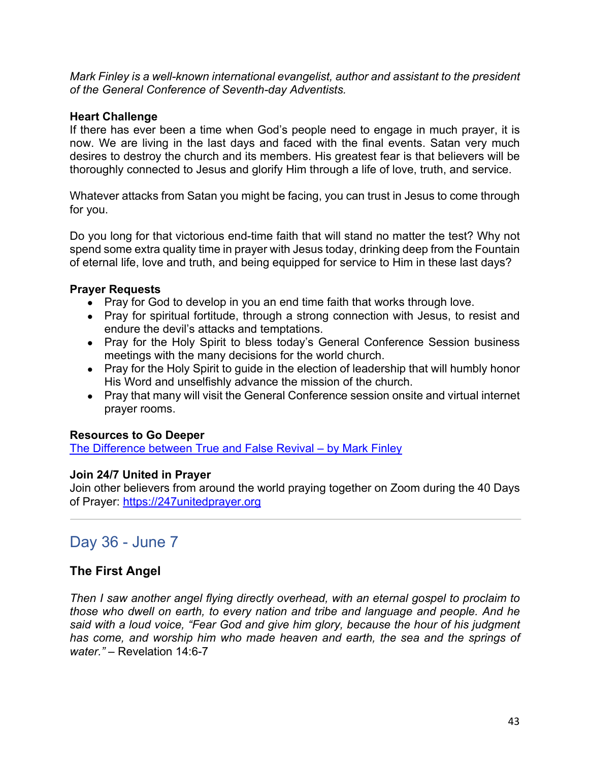*Mark Finley is a well-known international evangelist, author and assistant to the president of the General Conference of Seventh-day Adventists.*

#### **Heart Challenge**

If there has ever been a time when God's people need to engage in much prayer, it is now. We are living in the last days and faced with the final events. Satan very much desires to destroy the church and its members. His greatest fear is that believers will be thoroughly connected to Jesus and glorify Him through a life of love, truth, and service.

Whatever attacks from Satan you might be facing, you can trust in Jesus to come through for you.

Do you long for that victorious end-time faith that will stand no matter the test? Why not spend some extra quality time in prayer with Jesus today, drinking deep from the Fountain of eternal life, love and truth, and being equipped for service to Him in these last days?

#### **Prayer Requests**

- Pray for God to develop in you an end time faith that works through love.
- Pray for spiritual fortitude, through a strong connection with Jesus, to resist and endure the devil's attacks and temptations.
- Pray for the Holy Spirit to bless today's General Conference Session business meetings with the many decisions for the world church.
- Pray for the Holy Spirit to guide in the election of leadership that will humbly honor His Word and unselfishly advance the mission of the church.
- Pray that many will visit the General Conference session onsite and virtual internet prayer rooms.

### **Resources to Go Deeper**

The Difference between True and False Revival – by Mark Finley

#### **Join 24/7 United in Prayer**

Join other believers from around the world praying together on Zoom during the 40 Days of Prayer: https://247unitedprayer.org

# Day 36 - June 7

### **The First Angel**

*Then I saw another angel flying directly overhead, with an eternal gospel to proclaim to those who dwell on earth, to every nation and tribe and language and people. And he said with a loud voice, "Fear God and give him glory, because the hour of his judgment has come, and worship him who made heaven and earth, the sea and the springs of water."* – Revelation 14:6-7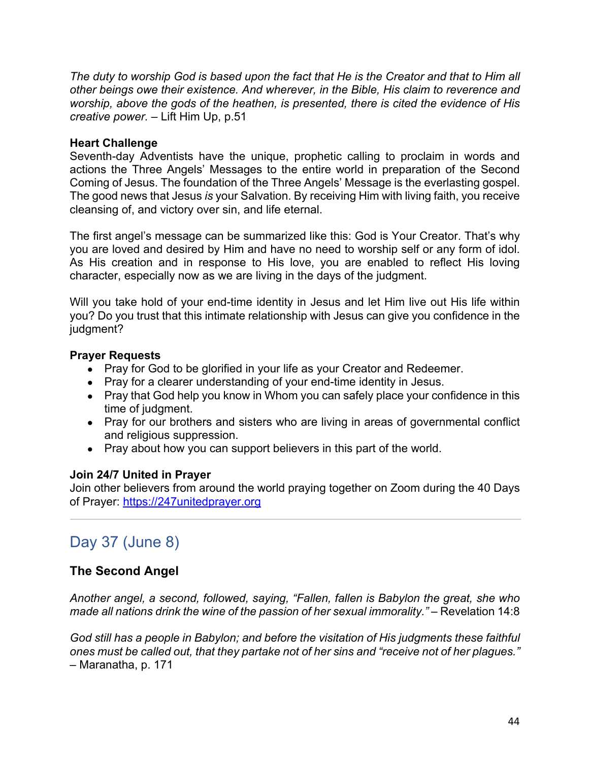*The duty to worship God is based upon the fact that He is the Creator and that to Him all other beings owe their existence. And wherever, in the Bible, His claim to reverence and worship, above the gods of the heathen, is presented, there is cited the evidence of His creative power.* – Lift Him Up, p.51

#### **Heart Challenge**

Seventh-day Adventists have the unique, prophetic calling to proclaim in words and actions the Three Angels' Messages to the entire world in preparation of the Second Coming of Jesus. The foundation of the Three Angels' Message is the everlasting gospel. The good news that Jesus *is* your Salvation. By receiving Him with living faith, you receive cleansing of, and victory over sin, and life eternal.

The first angel's message can be summarized like this: God is Your Creator. That's why you are loved and desired by Him and have no need to worship self or any form of idol. As His creation and in response to His love, you are enabled to reflect His loving character, especially now as we are living in the days of the judgment.

Will you take hold of your end-time identity in Jesus and let Him live out His life within you? Do you trust that this intimate relationship with Jesus can give you confidence in the judgment?

#### **Prayer Requests**

- Pray for God to be glorified in your life as your Creator and Redeemer.
- Pray for a clearer understanding of your end-time identity in Jesus.
- Pray that God help you know in Whom you can safely place your confidence in this time of judgment.
- Pray for our brothers and sisters who are living in areas of governmental conflict and religious suppression.
- Pray about how you can support believers in this part of the world.

#### **Join 24/7 United in Prayer**

Join other believers from around the world praying together on Zoom during the 40 Days of Prayer: https://247unitedprayer.org

# Day 37 (June 8)

### **The Second Angel**

*Another angel, a second, followed, saying, "Fallen, fallen is Babylon the great, she who made all nations drink the wine of the passion of her sexual immorality."* – Revelation 14:8

*God still has a people in Babylon; and before the visitation of His judgments these faithful ones must be called out, that they partake not of her sins and "receive not of her plagues."* – Maranatha, p. 171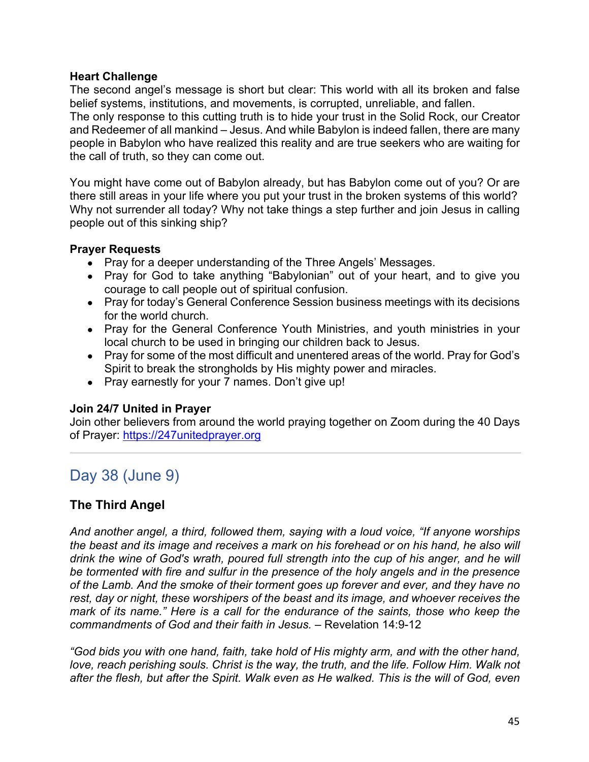#### **Heart Challenge**

The second angel's message is short but clear: This world with all its broken and false belief systems, institutions, and movements, is corrupted, unreliable, and fallen.

The only response to this cutting truth is to hide your trust in the Solid Rock, our Creator and Redeemer of all mankind – Jesus. And while Babylon is indeed fallen, there are many people in Babylon who have realized this reality and are true seekers who are waiting for the call of truth, so they can come out.

You might have come out of Babylon already, but has Babylon come out of you? Or are there still areas in your life where you put your trust in the broken systems of this world? Why not surrender all today? Why not take things a step further and join Jesus in calling people out of this sinking ship?

### **Prayer Requests**

- Pray for a deeper understanding of the Three Angels' Messages.
- Pray for God to take anything "Babylonian" out of your heart, and to give you courage to call people out of spiritual confusion.
- Pray for today's General Conference Session business meetings with its decisions for the world church.
- Pray for the General Conference Youth Ministries, and youth ministries in your local church to be used in bringing our children back to Jesus.
- Pray for some of the most difficult and unentered areas of the world. Pray for God's Spirit to break the strongholds by His mighty power and miracles.
- Pray earnestly for your 7 names. Don't give up!

### **Join 24/7 United in Prayer**

Join other believers from around the world praying together on Zoom during the 40 Days of Prayer: https://247unitedprayer.org

# Day 38 (June 9)

# **The Third Angel**

*And another angel, a third, followed them, saying with a loud voice, "If anyone worships the beast and its image and receives a mark on his forehead or on his hand, he also will drink the wine of God's wrath, poured full strength into the cup of his anger, and he will be tormented with fire and sulfur in the presence of the holy angels and in the presence of the Lamb. And the smoke of their torment goes up forever and ever, and they have no rest, day or night, these worshipers of the beast and its image, and whoever receives the mark of its name." Here is a call for the endurance of the saints, those who keep the commandments of God and their faith in Jesus.* – Revelation 14:9-12

*"God bids you with one hand, faith, take hold of His mighty arm, and with the other hand, love, reach perishing souls. Christ is the way, the truth, and the life. Follow Him. Walk not after the flesh, but after the Spirit. Walk even as He walked. This is the will of God, even*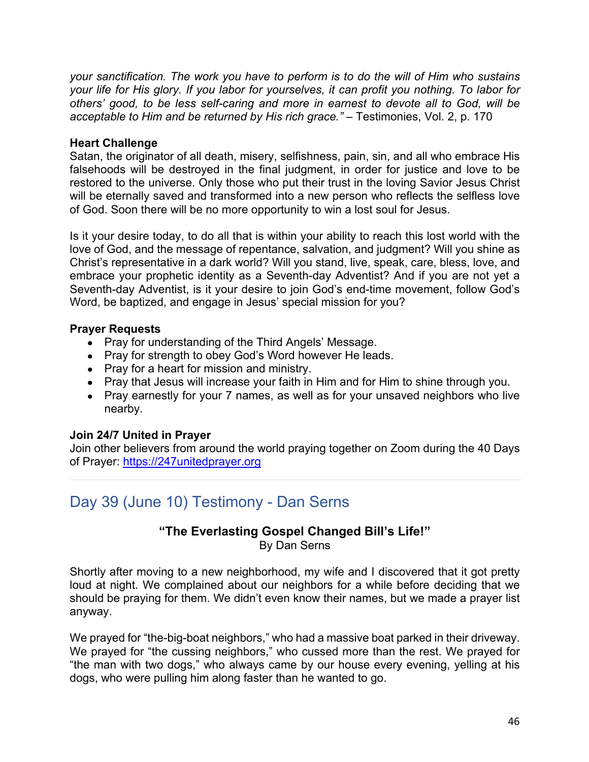*your sanctification. The work you have to perform is to do the will of Him who sustains your life for His glory. If you labor for yourselves, it can profit you nothing. To labor for others' good, to be less self-caring and more in earnest to devote all to God, will be acceptable to Him and be returned by His rich grace."* – Testimonies, Vol. 2, p. 170

#### **Heart Challenge**

Satan, the originator of all death, misery, selfishness, pain, sin, and all who embrace His falsehoods will be destroyed in the final judgment, in order for justice and love to be restored to the universe. Only those who put their trust in the loving Savior Jesus Christ will be eternally saved and transformed into a new person who reflects the selfless love of God. Soon there will be no more opportunity to win a lost soul for Jesus.

Is it your desire today, to do all that is within your ability to reach this lost world with the love of God, and the message of repentance, salvation, and judgment? Will you shine as Christ's representative in a dark world? Will you stand, live, speak, care, bless, love, and embrace your prophetic identity as a Seventh-day Adventist? And if you are not yet a Seventh-day Adventist, is it your desire to join God's end-time movement, follow God's Word, be baptized, and engage in Jesus' special mission for you?

### **Prayer Requests**

- Pray for understanding of the Third Angels' Message.
- Pray for strength to obey God's Word however He leads.
- Pray for a heart for mission and ministry.
- Pray that Jesus will increase your faith in Him and for Him to shine through you.
- Pray earnestly for your 7 names, as well as for your unsaved neighbors who live nearby.

### **Join 24/7 United in Prayer**

Join other believers from around the world praying together on Zoom during the 40 Days of Prayer: https://247unitedprayer.org

# Day 39 (June 10) Testimony - Dan Serns

#### **"The Everlasting Gospel Changed Bill's Life!"** By Dan Serns

Shortly after moving to a new neighborhood, my wife and I discovered that it got pretty loud at night. We complained about our neighbors for a while before deciding that we should be praying for them. We didn't even know their names, but we made a prayer list anyway.

We prayed for "the-big-boat neighbors," who had a massive boat parked in their driveway. We prayed for "the cussing neighbors," who cussed more than the rest. We prayed for "the man with two dogs," who always came by our house every evening, yelling at his dogs, who were pulling him along faster than he wanted to go.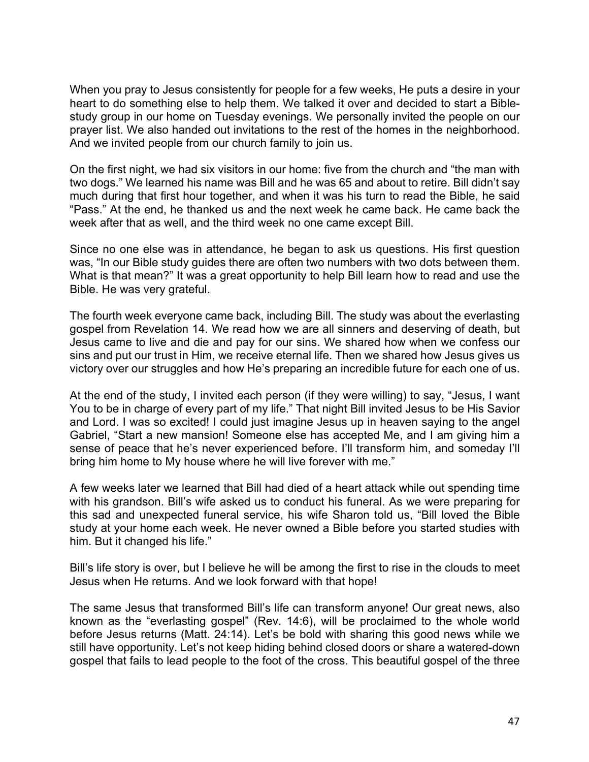When you pray to Jesus consistently for people for a few weeks, He puts a desire in your heart to do something else to help them. We talked it over and decided to start a Biblestudy group in our home on Tuesday evenings. We personally invited the people on our prayer list. We also handed out invitations to the rest of the homes in the neighborhood. And we invited people from our church family to join us.

On the first night, we had six visitors in our home: five from the church and "the man with two dogs." We learned his name was Bill and he was 65 and about to retire. Bill didn't say much during that first hour together, and when it was his turn to read the Bible, he said "Pass." At the end, he thanked us and the next week he came back. He came back the week after that as well, and the third week no one came except Bill.

Since no one else was in attendance, he began to ask us questions. His first question was, "In our Bible study guides there are often two numbers with two dots between them. What is that mean?" It was a great opportunity to help Bill learn how to read and use the Bible. He was very grateful.

The fourth week everyone came back, including Bill. The study was about the everlasting gospel from Revelation 14. We read how we are all sinners and deserving of death, but Jesus came to live and die and pay for our sins. We shared how when we confess our sins and put our trust in Him, we receive eternal life. Then we shared how Jesus gives us victory over our struggles and how He's preparing an incredible future for each one of us.

At the end of the study, I invited each person (if they were willing) to say, "Jesus, I want You to be in charge of every part of my life." That night Bill invited Jesus to be His Savior and Lord. I was so excited! I could just imagine Jesus up in heaven saying to the angel Gabriel, "Start a new mansion! Someone else has accepted Me, and I am giving him a sense of peace that he's never experienced before. I'll transform him, and someday I'll bring him home to My house where he will live forever with me."

A few weeks later we learned that Bill had died of a heart attack while out spending time with his grandson. Bill's wife asked us to conduct his funeral. As we were preparing for this sad and unexpected funeral service, his wife Sharon told us, "Bill loved the Bible study at your home each week. He never owned a Bible before you started studies with him. But it changed his life."

Bill's life story is over, but I believe he will be among the first to rise in the clouds to meet Jesus when He returns. And we look forward with that hope!

The same Jesus that transformed Bill's life can transform anyone! Our great news, also known as the "everlasting gospel" (Rev. 14:6), will be proclaimed to the whole world before Jesus returns (Matt. 24:14). Let's be bold with sharing this good news while we still have opportunity. Let's not keep hiding behind closed doors or share a watered-down gospel that fails to lead people to the foot of the cross. This beautiful gospel of the three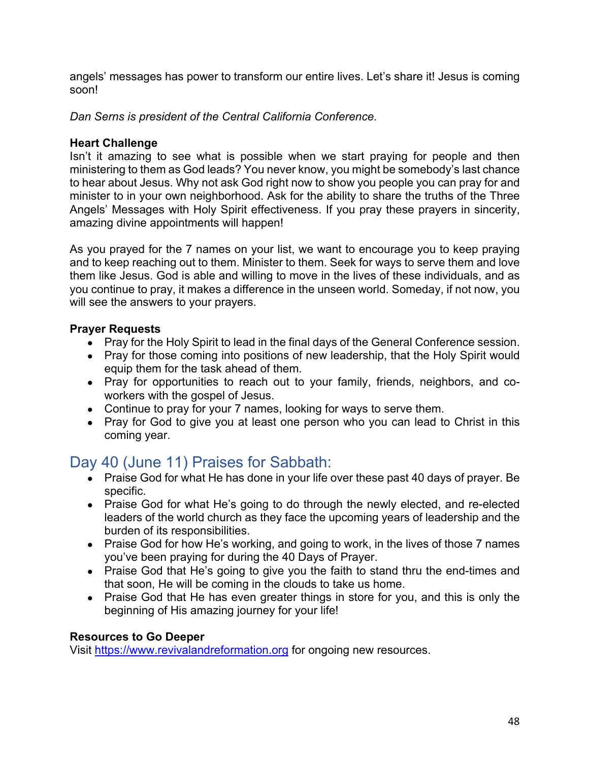angels' messages has power to transform our entire lives. Let's share it! Jesus is coming soon!

*Dan Serns is president of the Central California Conference.*

#### **Heart Challenge**

Isn't it amazing to see what is possible when we start praying for people and then ministering to them as God leads? You never know, you might be somebody's last chance to hear about Jesus. Why not ask God right now to show you people you can pray for and minister to in your own neighborhood. Ask for the ability to share the truths of the Three Angels' Messages with Holy Spirit effectiveness. If you pray these prayers in sincerity, amazing divine appointments will happen!

As you prayed for the 7 names on your list, we want to encourage you to keep praying and to keep reaching out to them. Minister to them. Seek for ways to serve them and love them like Jesus. God is able and willing to move in the lives of these individuals, and as you continue to pray, it makes a difference in the unseen world. Someday, if not now, you will see the answers to your prayers.

### **Prayer Requests**

- Pray for the Holy Spirit to lead in the final days of the General Conference session.
- Pray for those coming into positions of new leadership, that the Holy Spirit would equip them for the task ahead of them.
- Pray for opportunities to reach out to your family, friends, neighbors, and coworkers with the gospel of Jesus.
- Continue to pray for your 7 names, looking for ways to serve them.
- Pray for God to give you at least one person who you can lead to Christ in this coming year.

# Day 40 (June 11) Praises for Sabbath:

- Praise God for what He has done in your life over these past 40 days of prayer. Be specific.
- Praise God for what He's going to do through the newly elected, and re-elected leaders of the world church as they face the upcoming years of leadership and the burden of its responsibilities.
- Praise God for how He's working, and going to work, in the lives of those 7 names you've been praying for during the 40 Days of Prayer.
- Praise God that He's going to give you the faith to stand thru the end-times and that soon, He will be coming in the clouds to take us home.
- Praise God that He has even greater things in store for you, and this is only the beginning of His amazing journey for your life!

#### **Resources to Go Deeper**

Visit https://www.revivalandreformation.org for ongoing new resources.